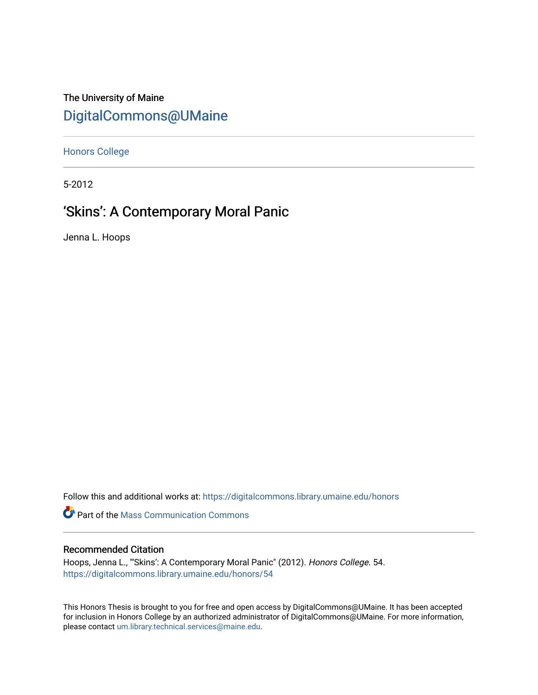# The University of Maine [DigitalCommons@UMaine](https://digitalcommons.library.umaine.edu/)

[Honors College](https://digitalcommons.library.umaine.edu/honors)

5-2012

# 'Skins': A Contemporary Moral Panic

Jenna L. Hoops

Follow this and additional works at: [https://digitalcommons.library.umaine.edu/honors](https://digitalcommons.library.umaine.edu/honors?utm_source=digitalcommons.library.umaine.edu%2Fhonors%2F54&utm_medium=PDF&utm_campaign=PDFCoverPages) 

**C** Part of the Mass Communication Commons

# Recommended Citation

Hoops, Jenna L., "'Skins': A Contemporary Moral Panic" (2012). Honors College. 54. [https://digitalcommons.library.umaine.edu/honors/54](https://digitalcommons.library.umaine.edu/honors/54?utm_source=digitalcommons.library.umaine.edu%2Fhonors%2F54&utm_medium=PDF&utm_campaign=PDFCoverPages) 

This Honors Thesis is brought to you for free and open access by DigitalCommons@UMaine. It has been accepted for inclusion in Honors College by an authorized administrator of DigitalCommons@UMaine. For more information, please contact [um.library.technical.services@maine.edu.](mailto:um.library.technical.services@maine.edu)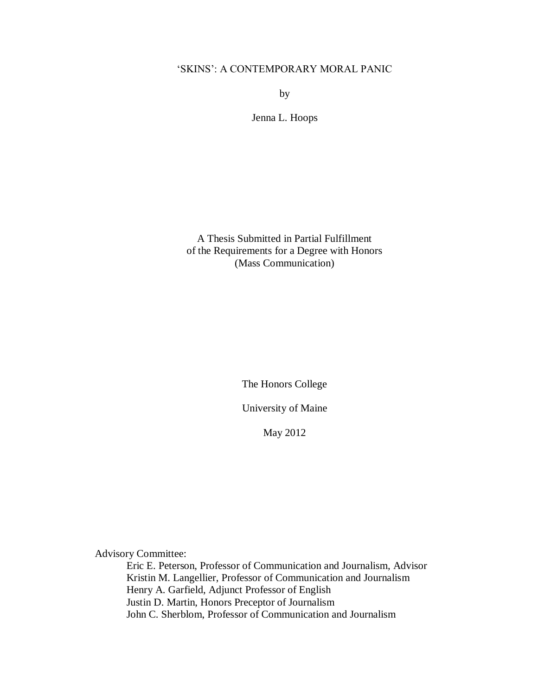# 'SKINS': A CONTEMPORARY MORAL PANIC

by

Jenna L. Hoops

A Thesis Submitted in Partial Fulfillment of the Requirements for a Degree with Honors (Mass Communication)

The Honors College

University of Maine

May 2012

Advisory Committee:

Eric E. Peterson, Professor of Communication and Journalism, Advisor Kristin M. Langellier, Professor of Communication and Journalism Henry A. Garfield, Adjunct Professor of English Justin D. Martin, Honors Preceptor of Journalism John C. Sherblom, Professor of Communication and Journalism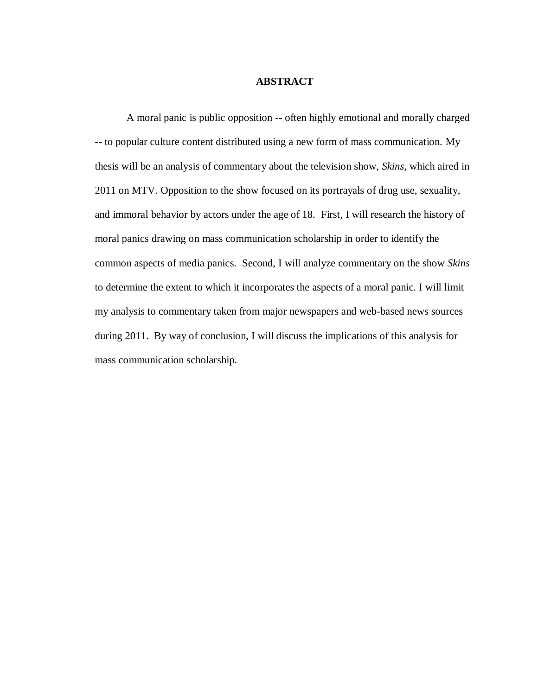#### **ABSTRACT**

A moral panic is public opposition -- often highly emotional and morally charged -- to popular culture content distributed using a new form of mass communication. My thesis will be an analysis of commentary about the television show, *Skins*, which aired in 2011 on MTV. Opposition to the show focused on its portrayals of drug use, sexuality, and immoral behavior by actors under the age of 18. First, I will research the history of moral panics drawing on mass communication scholarship in order to identify the common aspects of media panics. Second, I will analyze commentary on the show *Skins* to determine the extent to which it incorporates the aspects of a moral panic. I will limit my analysis to commentary taken from major newspapers and web-based news sources during 2011. By way of conclusion, I will discuss the implications of this analysis for mass communication scholarship.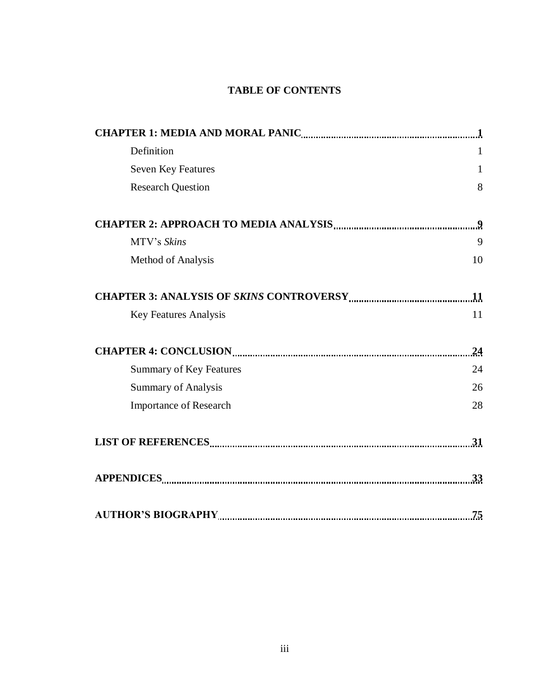# **TABLE OF CONTENTS**

| Definition                     | 1                |
|--------------------------------|------------------|
| <b>Seven Key Features</b>      | $\mathbf{1}$     |
| <b>Research Question</b>       | 8                |
|                                | $\boldsymbol{9}$ |
| MTV's Skins                    | 9                |
| Method of Analysis             | 10               |
|                                |                  |
| <b>Key Features Analysis</b>   | 11               |
|                                | 24               |
| <b>Summary of Key Features</b> | 24               |
| <b>Summary of Analysis</b>     | 26               |
| <b>Importance of Research</b>  | 28               |
|                                |                  |
|                                | 33               |
|                                | 75               |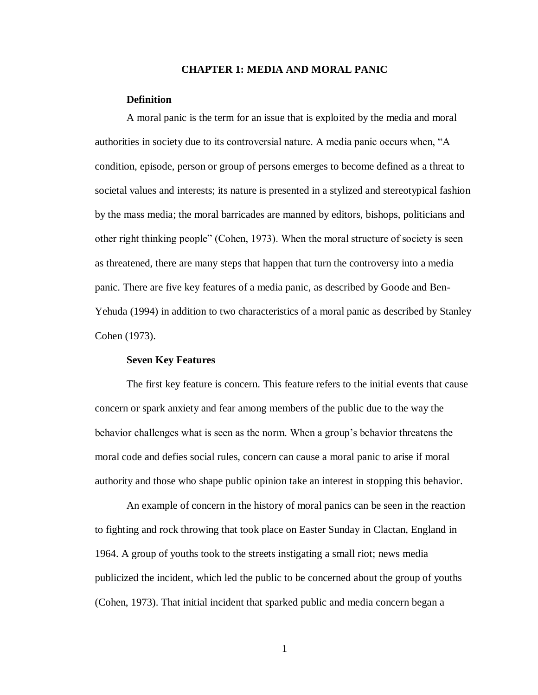#### **CHAPTER 1: MEDIA AND MORAL PANIC**

#### **Definition**

A moral panic is the term for an issue that is exploited by the media and moral authorities in society due to its controversial nature. A media panic occurs when, "A condition, episode, person or group of persons emerges to become defined as a threat to societal values and interests; its nature is presented in a stylized and stereotypical fashion by the mass media; the moral barricades are manned by editors, bishops, politicians and other right thinking people" (Cohen, 1973). When the moral structure of society is seen as threatened, there are many steps that happen that turn the controversy into a media panic. There are five key features of a media panic, as described by Goode and Ben-Yehuda (1994) in addition to two characteristics of a moral panic as described by Stanley Cohen (1973).

## **Seven Key Features**

The first key feature is concern. This feature refers to the initial events that cause concern or spark anxiety and fear among members of the public due to the way the behavior challenges what is seen as the norm. When a group's behavior threatens the moral code and defies social rules, concern can cause a moral panic to arise if moral authority and those who shape public opinion take an interest in stopping this behavior.

An example of concern in the history of moral panics can be seen in the reaction to fighting and rock throwing that took place on Easter Sunday in Clactan, England in 1964. A group of youths took to the streets instigating a small riot; news media publicized the incident, which led the public to be concerned about the group of youths (Cohen, 1973). That initial incident that sparked public and media concern began a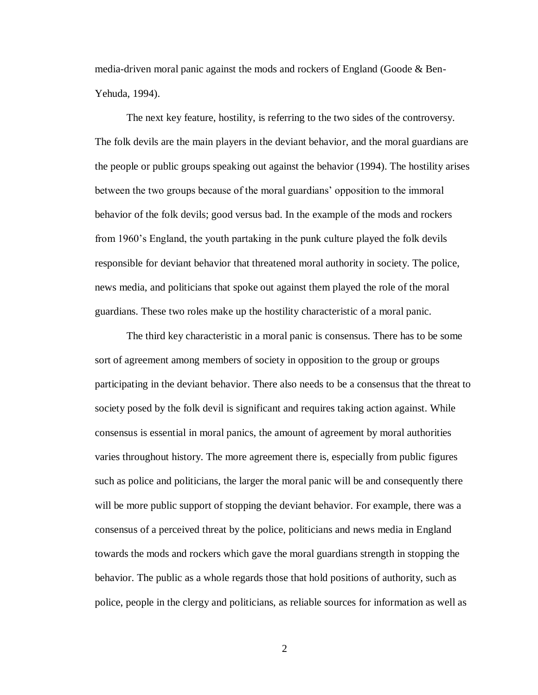media-driven moral panic against the mods and rockers of England (Goode & Ben-Yehuda, 1994).

The next key feature, hostility, is referring to the two sides of the controversy. The folk devils are the main players in the deviant behavior, and the moral guardians are the people or public groups speaking out against the behavior (1994). The hostility arises between the two groups because of the moral guardians' opposition to the immoral behavior of the folk devils; good versus bad. In the example of the mods and rockers from 1960's England, the youth partaking in the punk culture played the folk devils responsible for deviant behavior that threatened moral authority in society. The police, news media, and politicians that spoke out against them played the role of the moral guardians. These two roles make up the hostility characteristic of a moral panic.

The third key characteristic in a moral panic is consensus. There has to be some sort of agreement among members of society in opposition to the group or groups participating in the deviant behavior. There also needs to be a consensus that the threat to society posed by the folk devil is significant and requires taking action against. While consensus is essential in moral panics, the amount of agreement by moral authorities varies throughout history. The more agreement there is, especially from public figures such as police and politicians, the larger the moral panic will be and consequently there will be more public support of stopping the deviant behavior. For example, there was a consensus of a perceived threat by the police, politicians and news media in England towards the mods and rockers which gave the moral guardians strength in stopping the behavior. The public as a whole regards those that hold positions of authority, such as police, people in the clergy and politicians, as reliable sources for information as well as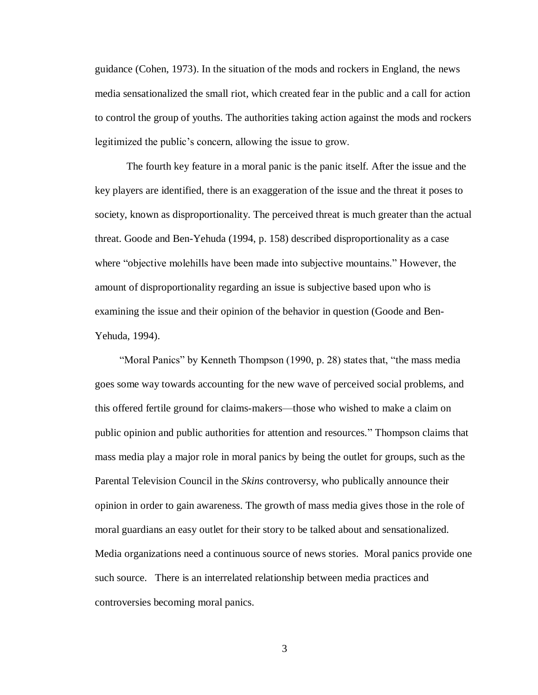guidance (Cohen, 1973). In the situation of the mods and rockers in England, the news media sensationalized the small riot, which created fear in the public and a call for action to control the group of youths. The authorities taking action against the mods and rockers legitimized the public's concern, allowing the issue to grow.

The fourth key feature in a moral panic is the panic itself. After the issue and the key players are identified, there is an exaggeration of the issue and the threat it poses to society, known as disproportionality. The perceived threat is much greater than the actual threat. Goode and Ben-Yehuda (1994, p. 158) described disproportionality as a case where "objective molehills have been made into subjective mountains." However, the amount of disproportionality regarding an issue is subjective based upon who is examining the issue and their opinion of the behavior in question (Goode and Ben-Yehuda, 1994).

"Moral Panics" by Kenneth Thompson (1990, p. 28) states that, "the mass media goes some way towards accounting for the new wave of perceived social problems, and this offered fertile ground for claims-makers—those who wished to make a claim on public opinion and public authorities for attention and resources." Thompson claims that mass media play a major role in moral panics by being the outlet for groups, such as the Parental Television Council in the *Skins* controversy, who publically announce their opinion in order to gain awareness. The growth of mass media gives those in the role of moral guardians an easy outlet for their story to be talked about and sensationalized. Media organizations need a continuous source of news stories. Moral panics provide one such source. There is an interrelated relationship between media practices and controversies becoming moral panics.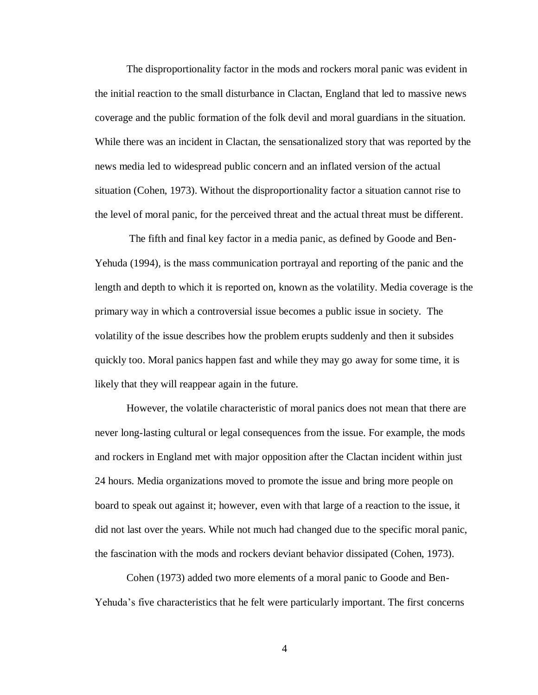The disproportionality factor in the mods and rockers moral panic was evident in the initial reaction to the small disturbance in Clactan, England that led to massive news coverage and the public formation of the folk devil and moral guardians in the situation. While there was an incident in Clactan, the sensationalized story that was reported by the news media led to widespread public concern and an inflated version of the actual situation (Cohen, 1973). Without the disproportionality factor a situation cannot rise to the level of moral panic, for the perceived threat and the actual threat must be different.

The fifth and final key factor in a media panic, as defined by Goode and Ben-Yehuda (1994), is the mass communication portrayal and reporting of the panic and the length and depth to which it is reported on, known as the volatility. Media coverage is the primary way in which a controversial issue becomes a public issue in society. The volatility of the issue describes how the problem erupts suddenly and then it subsides quickly too. Moral panics happen fast and while they may go away for some time, it is likely that they will reappear again in the future.

However, the volatile characteristic of moral panics does not mean that there are never long-lasting cultural or legal consequences from the issue. For example, the mods and rockers in England met with major opposition after the Clactan incident within just 24 hours. Media organizations moved to promote the issue and bring more people on board to speak out against it; however, even with that large of a reaction to the issue, it did not last over the years. While not much had changed due to the specific moral panic, the fascination with the mods and rockers deviant behavior dissipated (Cohen, 1973).

Cohen (1973) added two more elements of a moral panic to Goode and Ben-Yehuda's five characteristics that he felt were particularly important. The first concerns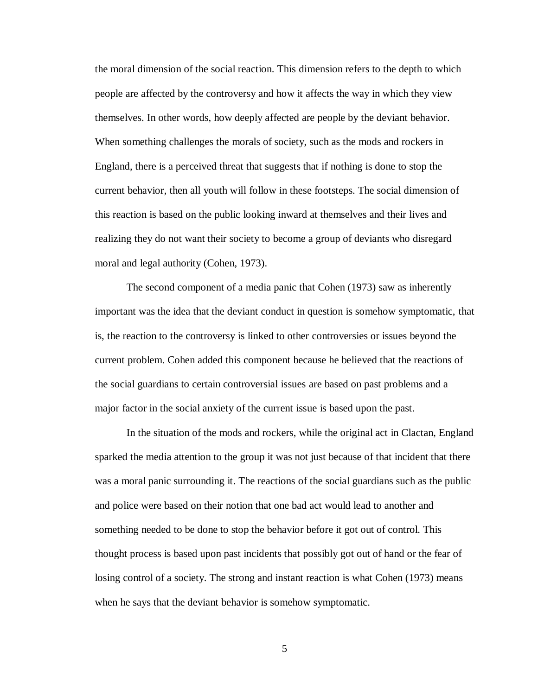the moral dimension of the social reaction. This dimension refers to the depth to which people are affected by the controversy and how it affects the way in which they view themselves. In other words, how deeply affected are people by the deviant behavior. When something challenges the morals of society, such as the mods and rockers in England, there is a perceived threat that suggests that if nothing is done to stop the current behavior, then all youth will follow in these footsteps. The social dimension of this reaction is based on the public looking inward at themselves and their lives and realizing they do not want their society to become a group of deviants who disregard moral and legal authority (Cohen, 1973).

The second component of a media panic that Cohen (1973) saw as inherently important was the idea that the deviant conduct in question is somehow symptomatic, that is, the reaction to the controversy is linked to other controversies or issues beyond the current problem. Cohen added this component because he believed that the reactions of the social guardians to certain controversial issues are based on past problems and a major factor in the social anxiety of the current issue is based upon the past.

In the situation of the mods and rockers, while the original act in Clactan, England sparked the media attention to the group it was not just because of that incident that there was a moral panic surrounding it. The reactions of the social guardians such as the public and police were based on their notion that one bad act would lead to another and something needed to be done to stop the behavior before it got out of control. This thought process is based upon past incidents that possibly got out of hand or the fear of losing control of a society. The strong and instant reaction is what Cohen (1973) means when he says that the deviant behavior is somehow symptomatic.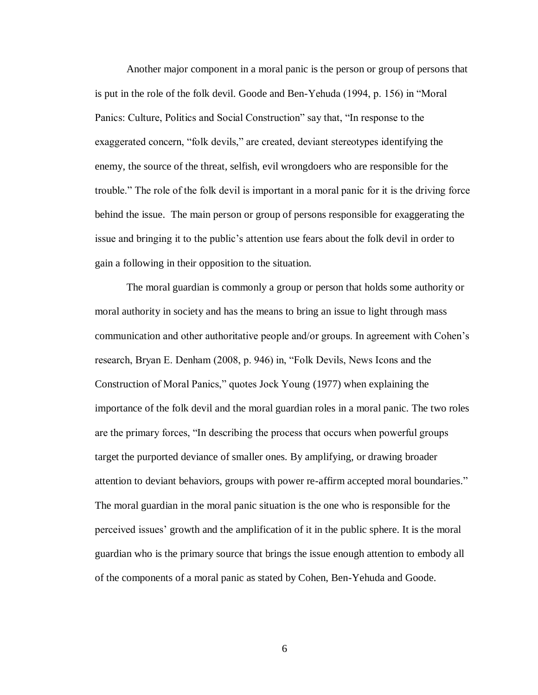Another major component in a moral panic is the person or group of persons that is put in the role of the folk devil. Goode and Ben-Yehuda (1994, p. 156) in "Moral Panics: Culture, Politics and Social Construction" say that, "In response to the exaggerated concern, "folk devils," are created, deviant stereotypes identifying the enemy, the source of the threat, selfish, evil wrongdoers who are responsible for the trouble." The role of the folk devil is important in a moral panic for it is the driving force behind the issue. The main person or group of persons responsible for exaggerating the issue and bringing it to the public's attention use fears about the folk devil in order to gain a following in their opposition to the situation.

The moral guardian is commonly a group or person that holds some authority or moral authority in society and has the means to bring an issue to light through mass communication and other authoritative people and/or groups. In agreement with Cohen's research, Bryan E. Denham (2008, p. 946) in, "Folk Devils, News Icons and the Construction of Moral Panics," quotes Jock Young (1977) when explaining the importance of the folk devil and the moral guardian roles in a moral panic. The two roles are the primary forces, "In describing the process that occurs when powerful groups target the purported deviance of smaller ones. By amplifying, or drawing broader attention to deviant behaviors, groups with power re-affirm accepted moral boundaries." The moral guardian in the moral panic situation is the one who is responsible for the perceived issues' growth and the amplification of it in the public sphere. It is the moral guardian who is the primary source that brings the issue enough attention to embody all of the components of a moral panic as stated by Cohen, Ben-Yehuda and Goode.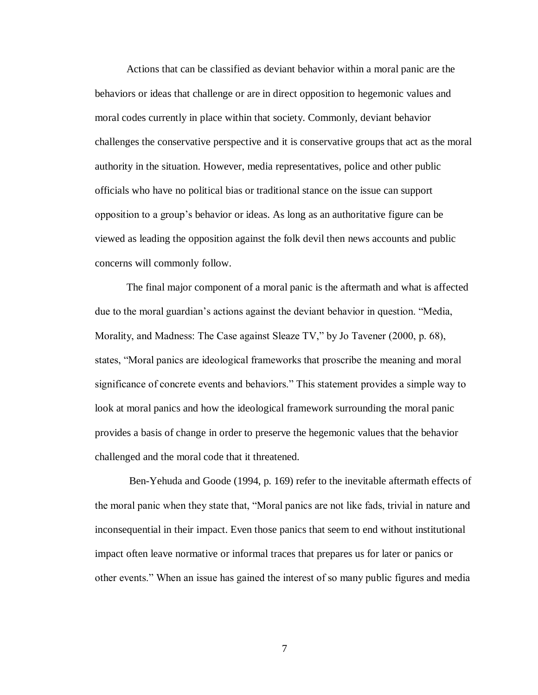Actions that can be classified as deviant behavior within a moral panic are the behaviors or ideas that challenge or are in direct opposition to hegemonic values and moral codes currently in place within that society. Commonly, deviant behavior challenges the conservative perspective and it is conservative groups that act as the moral authority in the situation. However, media representatives, police and other public officials who have no political bias or traditional stance on the issue can support opposition to a group's behavior or ideas. As long as an authoritative figure can be viewed as leading the opposition against the folk devil then news accounts and public concerns will commonly follow.

The final major component of a moral panic is the aftermath and what is affected due to the moral guardian's actions against the deviant behavior in question. "Media, Morality, and Madness: The Case against Sleaze TV," by Jo Tavener (2000, p. 68), states, "Moral panics are ideological frameworks that proscribe the meaning and moral significance of concrete events and behaviors." This statement provides a simple way to look at moral panics and how the ideological framework surrounding the moral panic provides a basis of change in order to preserve the hegemonic values that the behavior challenged and the moral code that it threatened.

Ben-Yehuda and Goode (1994, p. 169) refer to the inevitable aftermath effects of the moral panic when they state that, "Moral panics are not like fads, trivial in nature and inconsequential in their impact. Even those panics that seem to end without institutional impact often leave normative or informal traces that prepares us for later or panics or other events." When an issue has gained the interest of so many public figures and media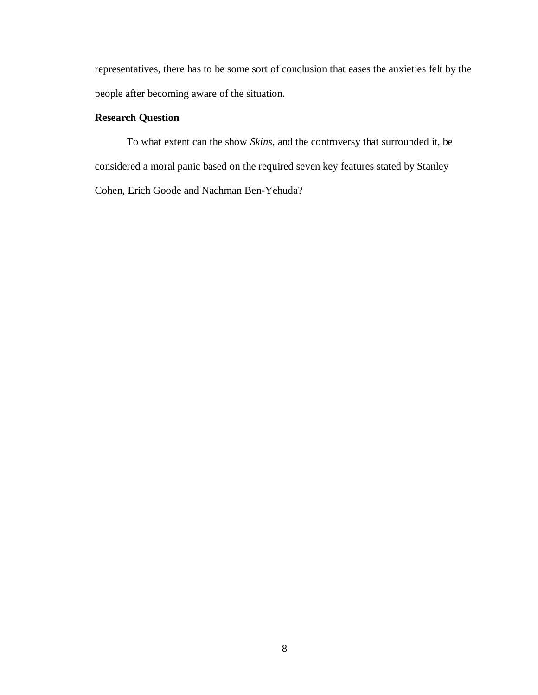representatives, there has to be some sort of conclusion that eases the anxieties felt by the people after becoming aware of the situation.

# **Research Question**

To what extent can the show *Skins*, and the controversy that surrounded it, be considered a moral panic based on the required seven key features stated by Stanley Cohen, Erich Goode and Nachman Ben-Yehuda?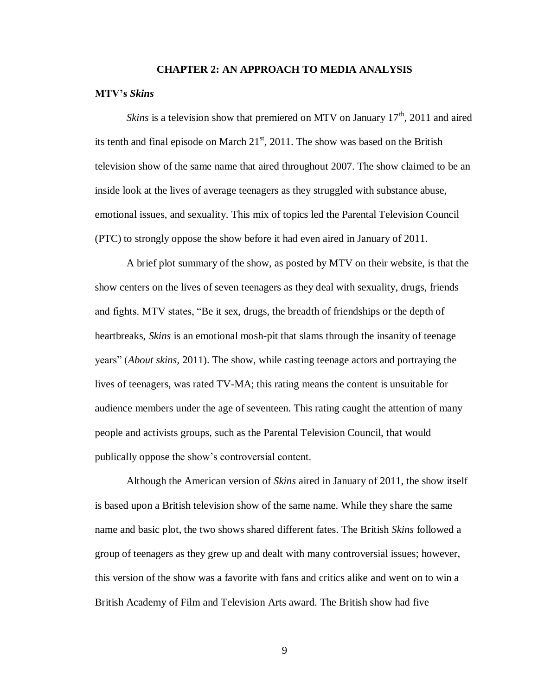#### **CHAPTER 2: AN APPROACH TO MEDIA ANALYSIS**

#### **MTV's** *Skins*

*Skins* is a television show that premiered on MTV on January  $17<sup>th</sup>$ , 2011 and aired its tenth and final episode on March  $21<sup>st</sup>$ , 2011. The show was based on the British television show of the same name that aired throughout 2007. The show claimed to be an inside look at the lives of average teenagers as they struggled with substance abuse, emotional issues, and sexuality. This mix of topics led the Parental Television Council (PTC) to strongly oppose the show before it had even aired in January of 2011.

A brief plot summary of the show, as posted by MTV on their website, is that the show centers on the lives of seven teenagers as they deal with sexuality, drugs, friends and fights. MTV states, "Be it sex, drugs, the breadth of friendships or the depth of heartbreaks, *Skins* is an emotional mosh-pit that slams through the insanity of teenage years" (*About skins,* 2011). The show, while casting teenage actors and portraying the lives of teenagers, was rated TV-MA; this rating means the content is unsuitable for audience members under the age of seventeen. This rating caught the attention of many people and activists groups, such as the Parental Television Council, that would publically oppose the show's controversial content.

Although the American version of *Skins* aired in January of 2011, the show itself is based upon a British television show of the same name. While they share the same name and basic plot, the two shows shared different fates. The British *Skins* followed a group of teenagers as they grew up and dealt with many controversial issues; however, this version of the show was a favorite with fans and critics alike and went on to win a British Academy of Film and Television Arts award. The British show had five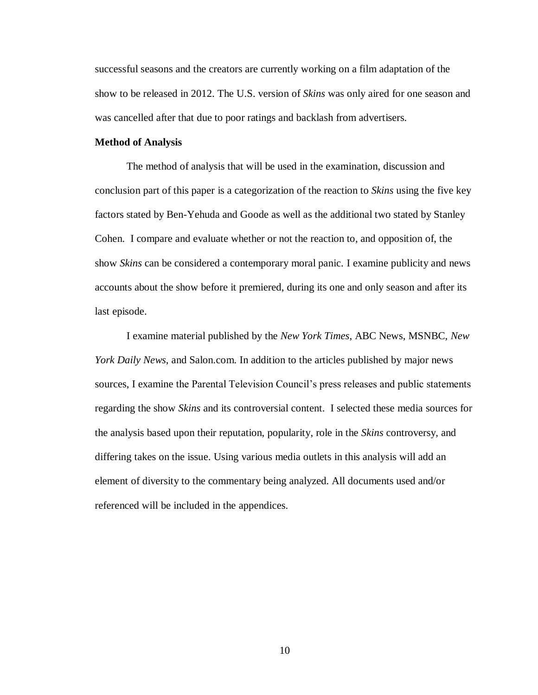successful seasons and the creators are currently working on a film adaptation of the show to be released in 2012. The U.S. version of *Skins* was only aired for one season and was cancelled after that due to poor ratings and backlash from advertisers.

## **Method of Analysis**

The method of analysis that will be used in the examination, discussion and conclusion part of this paper is a categorization of the reaction to *Skins* using the five key factors stated by Ben-Yehuda and Goode as well as the additional two stated by Stanley Cohen. I compare and evaluate whether or not the reaction to, and opposition of, the show *Skins* can be considered a contemporary moral panic. I examine publicity and news accounts about the show before it premiered, during its one and only season and after its last episode.

I examine material published by the *New York Times*, ABC News, MSNBC, *New York Daily News*, and Salon.com. In addition to the articles published by major news sources, I examine the Parental Television Council's press releases and public statements regarding the show *Skins* and its controversial content. I selected these media sources for the analysis based upon their reputation, popularity, role in the *Skins* controversy, and differing takes on the issue. Using various media outlets in this analysis will add an element of diversity to the commentary being analyzed. All documents used and/or referenced will be included in the appendices.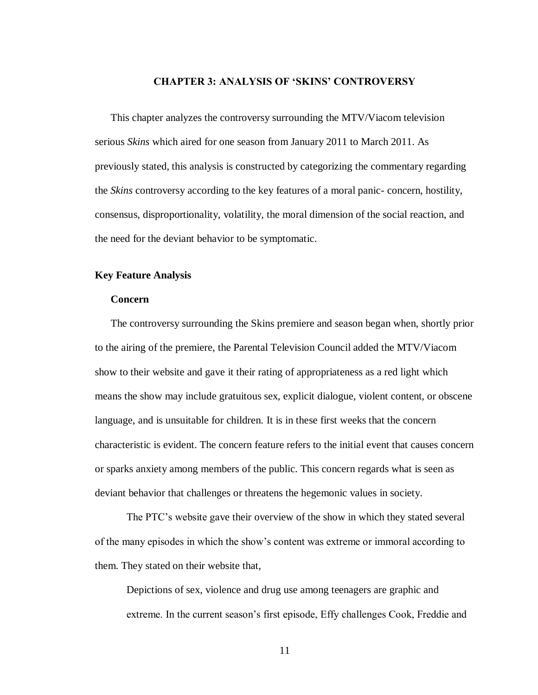# **CHAPTER 3: ANALYSIS OF 'SKINS' CONTROVERSY**

This chapter analyzes the controversy surrounding the MTV/Viacom television serious *Skins* which aired for one season from January 2011 to March 2011. As previously stated, this analysis is constructed by categorizing the commentary regarding the *Skins* controversy according to the key features of a moral panic- concern, hostility, consensus, disproportionality, volatility, the moral dimension of the social reaction, and the need for the deviant behavior to be symptomatic.

## **Key Feature Analysis**

## **Concern**

The controversy surrounding the Skins premiere and season began when, shortly prior to the airing of the premiere, the Parental Television Council added the MTV/Viacom show to their website and gave it their rating of appropriateness as a red light which means the show may include gratuitous sex, explicit dialogue, violent content, or obscene language, and is unsuitable for children. It is in these first weeks that the concern characteristic is evident. The concern feature refers to the initial event that causes concern or sparks anxiety among members of the public. This concern regards what is seen as deviant behavior that challenges or threatens the hegemonic values in society.

The PTC's website gave their overview of the show in which they stated several of the many episodes in which the show's content was extreme or immoral according to them. They stated on their website that,

Depictions of sex, violence and drug use among teenagers are graphic and extreme. In the current season's first episode, Effy challenges Cook, Freddie and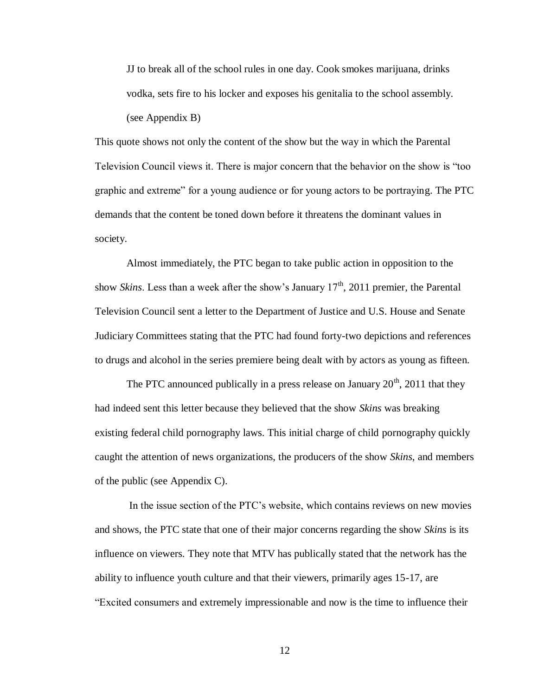JJ to break all of the school rules in one day. Cook smokes marijuana, drinks vodka, sets fire to his locker and exposes his genitalia to the school assembly. (see Appendix B)

This quote shows not only the content of the show but the way in which the Parental Television Council views it. There is major concern that the behavior on the show is "too graphic and extreme" for a young audience or for young actors to be portraying. The PTC demands that the content be toned down before it threatens the dominant values in society.

Almost immediately, the PTC began to take public action in opposition to the show *Skins*. Less than a week after the show's January 17<sup>th</sup>, 2011 premier, the Parental Television Council sent a letter to the Department of Justice and U.S. House and Senate Judiciary Committees stating that the PTC had found forty-two depictions and references to drugs and alcohol in the series premiere being dealt with by actors as young as fifteen.

The PTC announced publically in a press release on January  $20<sup>th</sup>$ , 2011 that they had indeed sent this letter because they believed that the show *Skins* was breaking existing federal child pornography laws. This initial charge of child pornography quickly caught the attention of news organizations, the producers of the show *Skins*, and members of the public (see Appendix C).

In the issue section of the PTC's website, which contains reviews on new movies and shows, the PTC state that one of their major concerns regarding the show *Skins* is its influence on viewers*.* They note that MTV has publically stated that the network has the ability to influence youth culture and that their viewers, primarily ages 15-17, are "Excited consumers and extremely impressionable and now is the time to influence their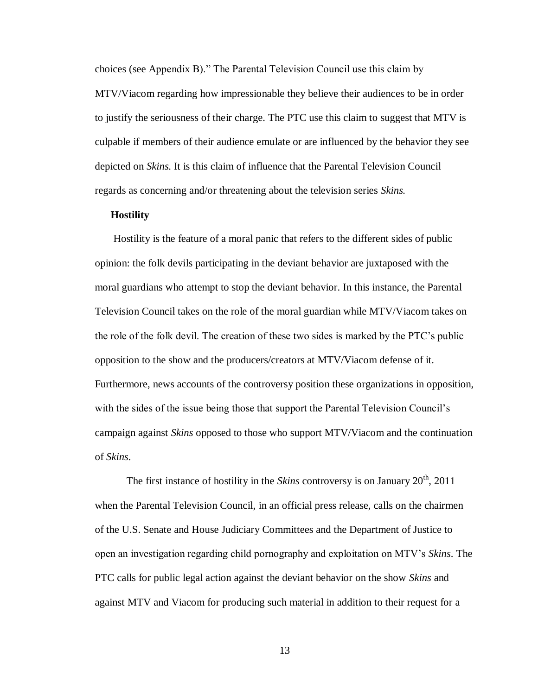choices (see Appendix B)." The Parental Television Council use this claim by MTV/Viacom regarding how impressionable they believe their audiences to be in order to justify the seriousness of their charge. The PTC use this claim to suggest that MTV is culpable if members of their audience emulate or are influenced by the behavior they see depicted on *Skins.* It is this claim of influence that the Parental Television Council regards as concerning and/or threatening about the television series *Skins.*

#### **Hostility**

Hostility is the feature of a moral panic that refers to the different sides of public opinion: the folk devils participating in the deviant behavior are juxtaposed with the moral guardians who attempt to stop the deviant behavior. In this instance, the Parental Television Council takes on the role of the moral guardian while MTV/Viacom takes on the role of the folk devil. The creation of these two sides is marked by the PTC's public opposition to the show and the producers/creators at MTV/Viacom defense of it. Furthermore, news accounts of the controversy position these organizations in opposition, with the sides of the issue being those that support the Parental Television Council's campaign against *Skins* opposed to those who support MTV/Viacom and the continuation of *Skins*.

The first instance of hostility in the *Skins* controversy is on January 20<sup>th</sup>, 2011 when the Parental Television Council, in an official press release, calls on the chairmen of the U.S. Senate and House Judiciary Committees and the Department of Justice to open an investigation regarding child pornography and exploitation on MTV's *Skins*. The PTC calls for public legal action against the deviant behavior on the show *Skins* and against MTV and Viacom for producing such material in addition to their request for a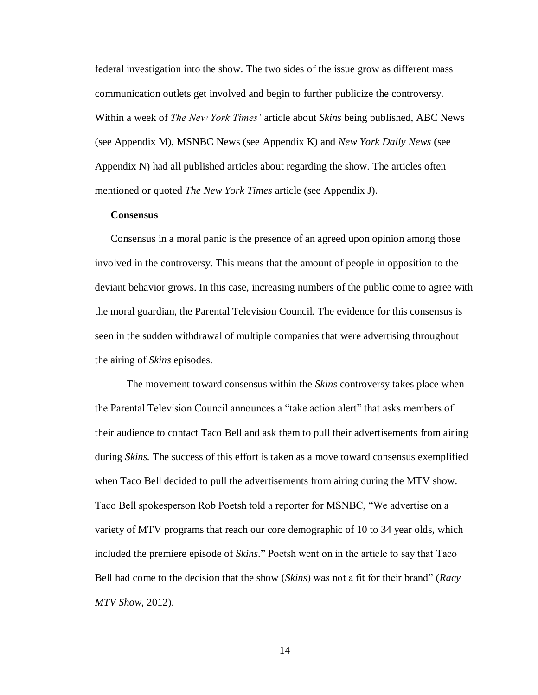federal investigation into the show. The two sides of the issue grow as different mass communication outlets get involved and begin to further publicize the controversy. Within a week of *The New York Times'* article about *Skins* being published, ABC News (see Appendix M), MSNBC News (see Appendix K) and *New York Daily News* (see Appendix N) had all published articles about regarding the show. The articles often mentioned or quoted *The New York Times* article (see Appendix J).

# **Consensus**

Consensus in a moral panic is the presence of an agreed upon opinion among those involved in the controversy. This means that the amount of people in opposition to the deviant behavior grows. In this case, increasing numbers of the public come to agree with the moral guardian, the Parental Television Council. The evidence for this consensus is seen in the sudden withdrawal of multiple companies that were advertising throughout the airing of *Skins* episodes.

The movement toward consensus within the *Skins* controversy takes place when the Parental Television Council announces a "take action alert" that asks members of their audience to contact Taco Bell and ask them to pull their advertisements from airing during *Skins.* The success of this effort is taken as a move toward consensus exemplified when Taco Bell decided to pull the advertisements from airing during the MTV show. Taco Bell spokesperson Rob Poetsh told a reporter for MSNBC, "We advertise on a variety of MTV programs that reach our core demographic of 10 to 34 year olds, which included the premiere episode of *Skins*." Poetsh went on in the article to say that Taco Bell had come to the decision that the show (*Skins*) was not a fit for their brand" (*Racy MTV Show*, 2012).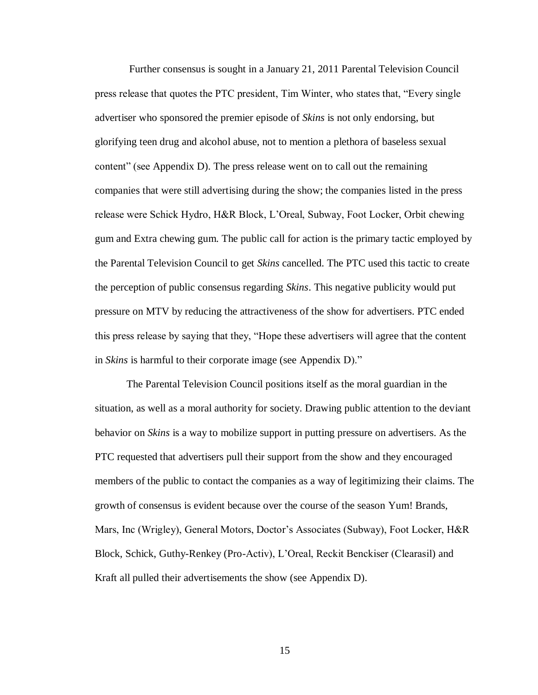Further consensus is sought in a January 21, 2011 Parental Television Council press release that quotes the PTC president, Tim Winter, who states that, "Every single advertiser who sponsored the premier episode of *Skins* is not only endorsing, but glorifying teen drug and alcohol abuse, not to mention a plethora of baseless sexual content" (see Appendix D). The press release went on to call out the remaining companies that were still advertising during the show; the companies listed in the press release were Schick Hydro, H&R Block, L'Oreal, Subway, Foot Locker, Orbit chewing gum and Extra chewing gum. The public call for action is the primary tactic employed by the Parental Television Council to get *Skins* cancelled. The PTC used this tactic to create the perception of public consensus regarding *Skins*. This negative publicity would put pressure on MTV by reducing the attractiveness of the show for advertisers. PTC ended this press release by saying that they, "Hope these advertisers will agree that the content in *Skins* is harmful to their corporate image (see Appendix D)."

The Parental Television Council positions itself as the moral guardian in the situation, as well as a moral authority for society. Drawing public attention to the deviant behavior on *Skins* is a way to mobilize support in putting pressure on advertisers. As the PTC requested that advertisers pull their support from the show and they encouraged members of the public to contact the companies as a way of legitimizing their claims. The growth of consensus is evident because over the course of the season Yum! Brands, Mars, Inc (Wrigley), General Motors, Doctor's Associates (Subway), Foot Locker, H&R Block, Schick, Guthy-Renkey (Pro-Activ), L'Oreal, Reckit Benckiser (Clearasil) and Kraft all pulled their advertisements the show (see Appendix D).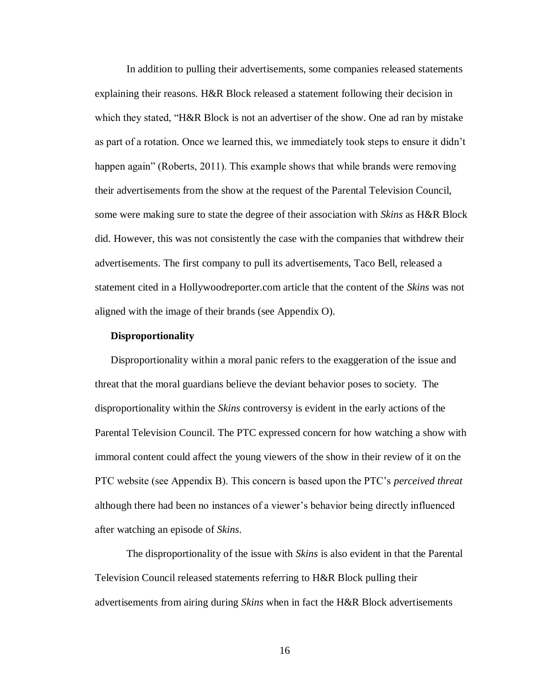In addition to pulling their advertisements, some companies released statements explaining their reasons. H&R Block released a statement following their decision in which they stated, "H&R Block is not an advertiser of the show. One ad ran by mistake as part of a rotation. Once we learned this, we immediately took steps to ensure it didn't happen again" (Roberts, 2011). This example shows that while brands were removing their advertisements from the show at the request of the Parental Television Council, some were making sure to state the degree of their association with *Skins* as H&R Block did. However, this was not consistently the case with the companies that withdrew their advertisements. The first company to pull its advertisements, Taco Bell, released a statement cited in a Hollywoodreporter.com article that the content of the *Skins* was not aligned with the image of their brands (see Appendix O).

#### **Disproportionality**

Disproportionality within a moral panic refers to the exaggeration of the issue and threat that the moral guardians believe the deviant behavior poses to society. The disproportionality within the *Skins* controversy is evident in the early actions of the Parental Television Council. The PTC expressed concern for how watching a show with immoral content could affect the young viewers of the show in their review of it on the PTC website (see Appendix B). This concern is based upon the PTC's *perceived threat* although there had been no instances of a viewer's behavior being directly influenced after watching an episode of *Skins*.

The disproportionality of the issue with *Skins* is also evident in that the Parental Television Council released statements referring to H&R Block pulling their advertisements from airing during *Skins* when in fact the H&R Block advertisements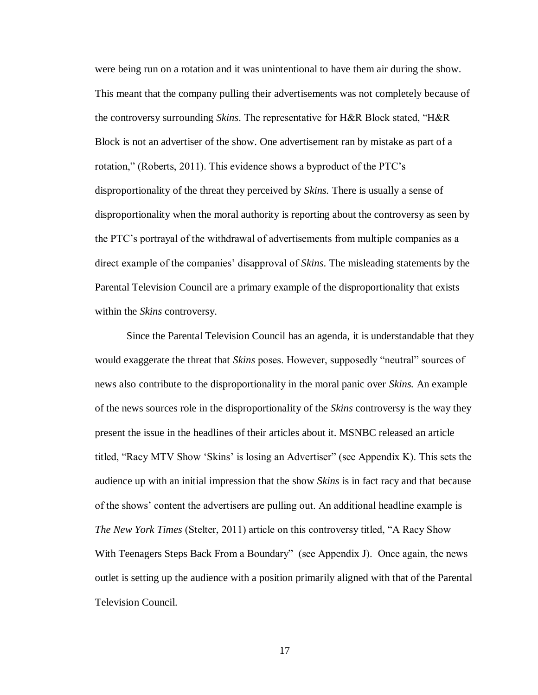were being run on a rotation and it was unintentional to have them air during the show. This meant that the company pulling their advertisements was not completely because of the controversy surrounding *Skins*. The representative for H&R Block stated, "H&R Block is not an advertiser of the show. One advertisement ran by mistake as part of a rotation," (Roberts, 2011). This evidence shows a byproduct of the PTC's disproportionality of the threat they perceived by *Skins.* There is usually a sense of disproportionality when the moral authority is reporting about the controversy as seen by the PTC's portrayal of the withdrawal of advertisements from multiple companies as a direct example of the companies' disapproval of *Skins*. The misleading statements by the Parental Television Council are a primary example of the disproportionality that exists within the *Skins* controversy.

Since the Parental Television Council has an agenda, it is understandable that they would exaggerate the threat that *Skins* poses. However, supposedly "neutral" sources of news also contribute to the disproportionality in the moral panic over *Skins.* An example of the news sources role in the disproportionality of the *Skins* controversy is the way they present the issue in the headlines of their articles about it. MSNBC released an article titled, "Racy MTV Show 'Skins' is losing an Advertiser" (see Appendix K). This sets the audience up with an initial impression that the show *Skins* is in fact racy and that because of the shows' content the advertisers are pulling out. An additional headline example is *The New York Times* (Stelter, 2011) article on this controversy titled, "A Racy Show With Teenagers Steps Back From a Boundary" (see Appendix J). Once again, the news outlet is setting up the audience with a position primarily aligned with that of the Parental Television Council.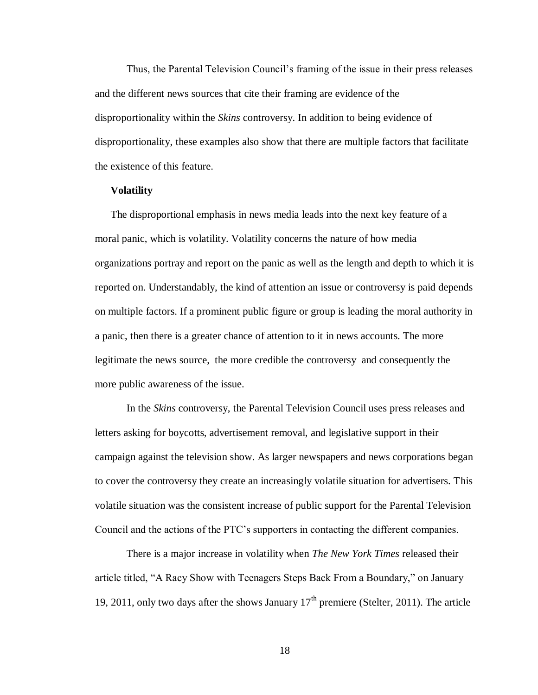Thus, the Parental Television Council's framing of the issue in their press releases and the different news sources that cite their framing are evidence of the disproportionality within the *Skins* controversy. In addition to being evidence of disproportionality, these examples also show that there are multiple factors that facilitate the existence of this feature.

#### **Volatility**

The disproportional emphasis in news media leads into the next key feature of a moral panic, which is volatility. Volatility concerns the nature of how media organizations portray and report on the panic as well as the length and depth to which it is reported on. Understandably, the kind of attention an issue or controversy is paid depends on multiple factors. If a prominent public figure or group is leading the moral authority in a panic, then there is a greater chance of attention to it in news accounts. The more legitimate the news source, the more credible the controversy and consequently the more public awareness of the issue.

In the *Skins* controversy, the Parental Television Council uses press releases and letters asking for boycotts, advertisement removal, and legislative support in their campaign against the television show. As larger newspapers and news corporations began to cover the controversy they create an increasingly volatile situation for advertisers. This volatile situation was the consistent increase of public support for the Parental Television Council and the actions of the PTC's supporters in contacting the different companies.

There is a major increase in volatility when *The New York Times* released their article titled, "A Racy Show with Teenagers Steps Back From a Boundary," on January 19, 2011, only two days after the shows January  $17<sup>th</sup>$  premiere (Stelter, 2011). The article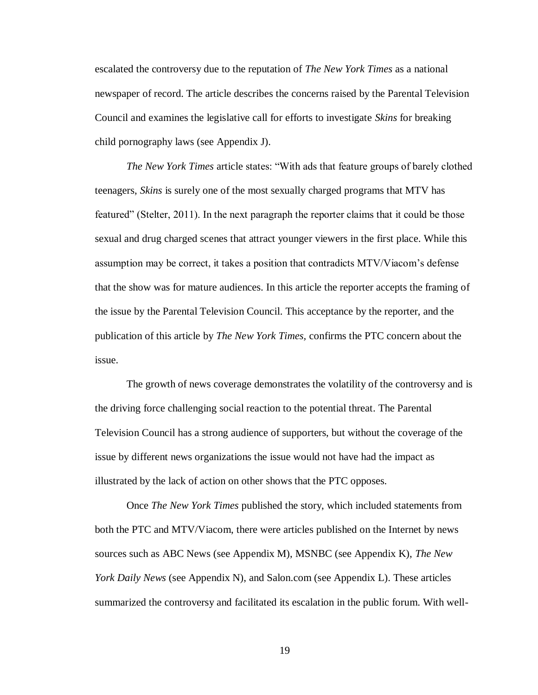escalated the controversy due to the reputation of *The New York Times* as a national newspaper of record. The article describes the concerns raised by the Parental Television Council and examines the legislative call for efforts to investigate *Skins* for breaking child pornography laws (see Appendix J).

*The New York Times* article states: "With ads that feature groups of barely clothed teenagers, *Skins* is surely one of the most sexually charged programs that MTV has featured" (Stelter, 2011). In the next paragraph the reporter claims that it could be those sexual and drug charged scenes that attract younger viewers in the first place. While this assumption may be correct, it takes a position that contradicts MTV/Viacom's defense that the show was for mature audiences. In this article the reporter accepts the framing of the issue by the Parental Television Council. This acceptance by the reporter, and the publication of this article by *The New York Times,* confirms the PTC concern about the issue.

The growth of news coverage demonstrates the volatility of the controversy and is the driving force challenging social reaction to the potential threat. The Parental Television Council has a strong audience of supporters, but without the coverage of the issue by different news organizations the issue would not have had the impact as illustrated by the lack of action on other shows that the PTC opposes.

Once *The New York Times* published the story, which included statements from both the PTC and MTV/Viacom, there were articles published on the Internet by news sources such as ABC News (see Appendix M), MSNBC (see Appendix K), *The New York Daily News* (see Appendix N), and Salon.com (see Appendix L). These articles summarized the controversy and facilitated its escalation in the public forum. With well-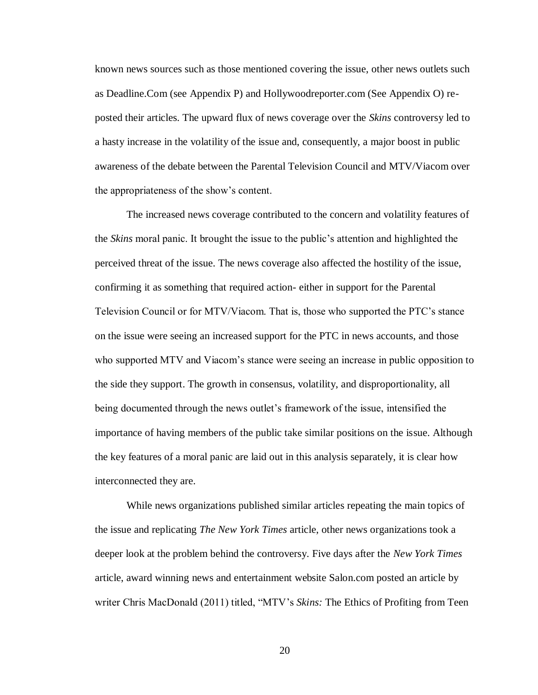known news sources such as those mentioned covering the issue, other news outlets such as Deadline.Com (see Appendix P) and Hollywoodreporter.com (See Appendix O) reposted their articles. The upward flux of news coverage over the *Skins* controversy led to a hasty increase in the volatility of the issue and, consequently, a major boost in public awareness of the debate between the Parental Television Council and MTV/Viacom over the appropriateness of the show's content.

The increased news coverage contributed to the concern and volatility features of the *Skins* moral panic. It brought the issue to the public's attention and highlighted the perceived threat of the issue. The news coverage also affected the hostility of the issue, confirming it as something that required action- either in support for the Parental Television Council or for MTV/Viacom. That is, those who supported the PTC's stance on the issue were seeing an increased support for the PTC in news accounts, and those who supported MTV and Viacom's stance were seeing an increase in public opposition to the side they support. The growth in consensus, volatility, and disproportionality, all being documented through the news outlet's framework of the issue, intensified the importance of having members of the public take similar positions on the issue. Although the key features of a moral panic are laid out in this analysis separately, it is clear how interconnected they are.

While news organizations published similar articles repeating the main topics of the issue and replicating *The New York Times* article, other news organizations took a deeper look at the problem behind the controversy. Five days after the *New York Times* article, award winning news and entertainment website Salon.com posted an article by writer Chris MacDonald (2011) titled, "MTV's *Skins:* The Ethics of Profiting from Teen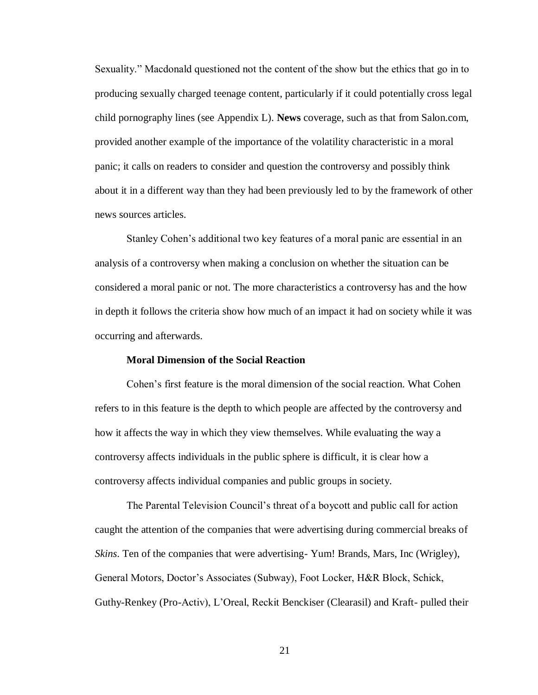Sexuality." Macdonald questioned not the content of the show but the ethics that go in to producing sexually charged teenage content, particularly if it could potentially cross legal child pornography lines (see Appendix L). **News** coverage, such as that from Salon.com, provided another example of the importance of the volatility characteristic in a moral panic; it calls on readers to consider and question the controversy and possibly think about it in a different way than they had been previously led to by the framework of other news sources articles.

Stanley Cohen's additional two key features of a moral panic are essential in an analysis of a controversy when making a conclusion on whether the situation can be considered a moral panic or not. The more characteristics a controversy has and the how in depth it follows the criteria show how much of an impact it had on society while it was occurring and afterwards.

## **Moral Dimension of the Social Reaction**

Cohen's first feature is the moral dimension of the social reaction. What Cohen refers to in this feature is the depth to which people are affected by the controversy and how it affects the way in which they view themselves. While evaluating the way a controversy affects individuals in the public sphere is difficult, it is clear how a controversy affects individual companies and public groups in society.

The Parental Television Council's threat of a boycott and public call for action caught the attention of the companies that were advertising during commercial breaks of *Skins*. Ten of the companies that were advertising- Yum! Brands, Mars, Inc (Wrigley), General Motors, Doctor's Associates (Subway), Foot Locker, H&R Block, Schick, Guthy-Renkey (Pro-Activ), L'Oreal, Reckit Benckiser (Clearasil) and Kraft- pulled their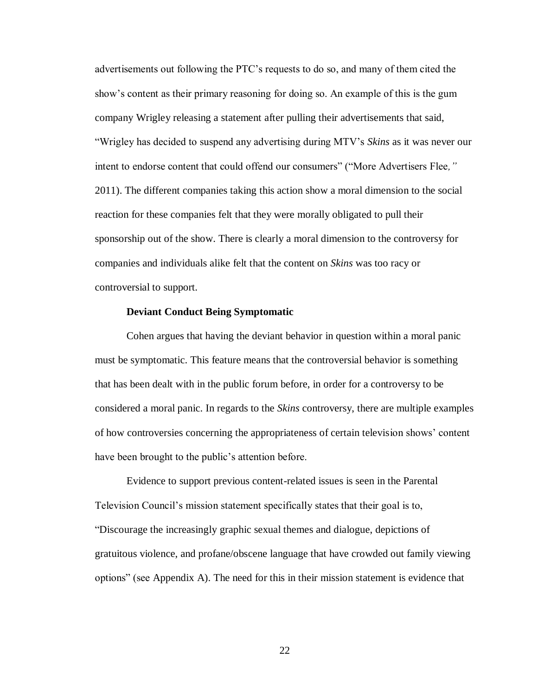advertisements out following the PTC's requests to do so, and many of them cited the show's content as their primary reasoning for doing so. An example of this is the gum company Wrigley releasing a statement after pulling their advertisements that said, "Wrigley has decided to suspend any advertising during MTV's *Skins* as it was never our intent to endorse content that could offend our consumers" ("More Advertisers Flee*,"*  2011). The different companies taking this action show a moral dimension to the social reaction for these companies felt that they were morally obligated to pull their sponsorship out of the show. There is clearly a moral dimension to the controversy for companies and individuals alike felt that the content on *Skins* was too racy or controversial to support.

## **Deviant Conduct Being Symptomatic**

Cohen argues that having the deviant behavior in question within a moral panic must be symptomatic. This feature means that the controversial behavior is something that has been dealt with in the public forum before, in order for a controversy to be considered a moral panic. In regards to the *Skins* controversy, there are multiple examples of how controversies concerning the appropriateness of certain television shows' content have been brought to the public's attention before.

Evidence to support previous content-related issues is seen in the Parental Television Council's mission statement specifically states that their goal is to, "Discourage the increasingly graphic sexual themes and dialogue, depictions of gratuitous violence, and profane/obscene language that have crowded out family viewing options" (see Appendix A). The need for this in their mission statement is evidence that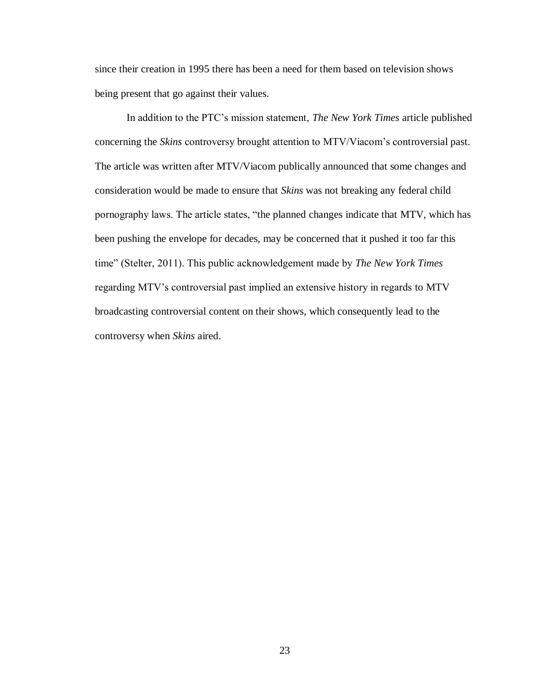since their creation in 1995 there has been a need for them based on television shows being present that go against their values.

In addition to the PTC's mission statement, *The New York Times* article published concerning the *Skins* controversy brought attention to MTV/Viacom's controversial past. The article was written after MTV/Viacom publically announced that some changes and consideration would be made to ensure that *Skins* was not breaking any federal child pornography laws. The article states, "the planned changes indicate that MTV, which has been pushing the envelope for decades, may be concerned that it pushed it too far this time" (Stelter, 2011). This public acknowledgement made by *The New York Times* regarding MTV's controversial past implied an extensive history in regards to MTV broadcasting controversial content on their shows, which consequently lead to the controversy when *Skins* aired.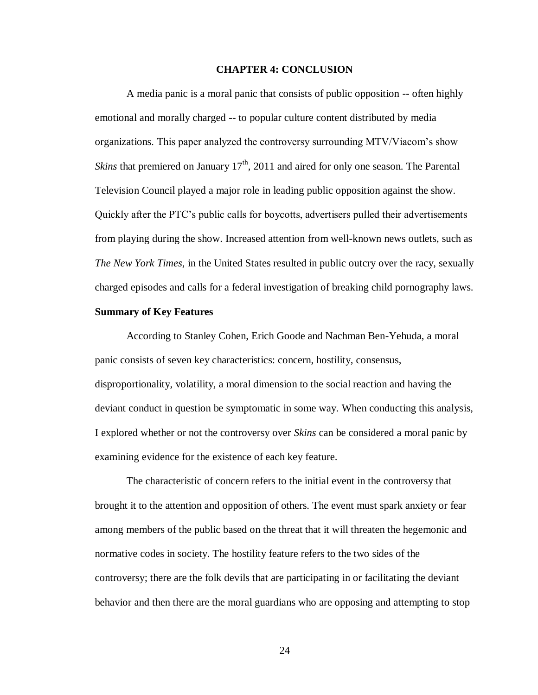#### **CHAPTER 4: CONCLUSION**

A media panic is a moral panic that consists of public opposition -- often highly emotional and morally charged -- to popular culture content distributed by media organizations. This paper analyzed the controversy surrounding MTV/Viacom's show *Skins* that premiered on January  $17<sup>th</sup>$ , 2011 and aired for only one season. The Parental Television Council played a major role in leading public opposition against the show. Quickly after the PTC's public calls for boycotts, advertisers pulled their advertisements from playing during the show. Increased attention from well-known news outlets, such as *The New York Times*, in the United States resulted in public outcry over the racy, sexually charged episodes and calls for a federal investigation of breaking child pornography laws.

#### **Summary of Key Features**

According to Stanley Cohen, Erich Goode and Nachman Ben-Yehuda, a moral panic consists of seven key characteristics: concern, hostility, consensus, disproportionality, volatility, a moral dimension to the social reaction and having the deviant conduct in question be symptomatic in some way. When conducting this analysis, I explored whether or not the controversy over *Skins* can be considered a moral panic by examining evidence for the existence of each key feature.

The characteristic of concern refers to the initial event in the controversy that brought it to the attention and opposition of others. The event must spark anxiety or fear among members of the public based on the threat that it will threaten the hegemonic and normative codes in society. The hostility feature refers to the two sides of the controversy; there are the folk devils that are participating in or facilitating the deviant behavior and then there are the moral guardians who are opposing and attempting to stop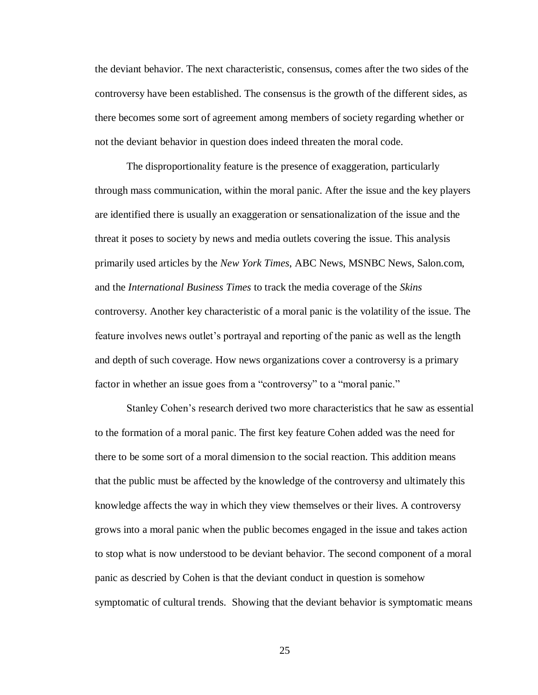the deviant behavior. The next characteristic, consensus, comes after the two sides of the controversy have been established. The consensus is the growth of the different sides, as there becomes some sort of agreement among members of society regarding whether or not the deviant behavior in question does indeed threaten the moral code.

The disproportionality feature is the presence of exaggeration, particularly through mass communication, within the moral panic. After the issue and the key players are identified there is usually an exaggeration or sensationalization of the issue and the threat it poses to society by news and media outlets covering the issue. This analysis primarily used articles by the *New York Times*, ABC News, MSNBC News, Salon.com, and the *International Business Times* to track the media coverage of the *Skins* controversy. Another key characteristic of a moral panic is the volatility of the issue. The feature involves news outlet's portrayal and reporting of the panic as well as the length and depth of such coverage. How news organizations cover a controversy is a primary factor in whether an issue goes from a "controversy" to a "moral panic."

Stanley Cohen's research derived two more characteristics that he saw as essential to the formation of a moral panic. The first key feature Cohen added was the need for there to be some sort of a moral dimension to the social reaction. This addition means that the public must be affected by the knowledge of the controversy and ultimately this knowledge affects the way in which they view themselves or their lives. A controversy grows into a moral panic when the public becomes engaged in the issue and takes action to stop what is now understood to be deviant behavior. The second component of a moral panic as descried by Cohen is that the deviant conduct in question is somehow symptomatic of cultural trends. Showing that the deviant behavior is symptomatic means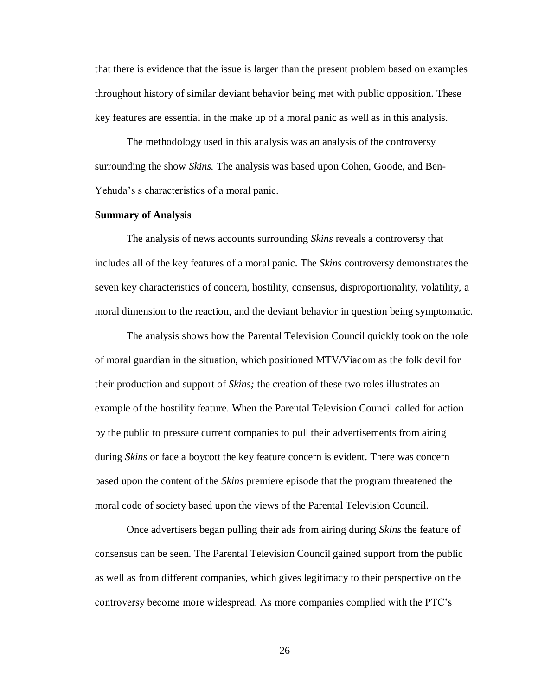that there is evidence that the issue is larger than the present problem based on examples throughout history of similar deviant behavior being met with public opposition. These key features are essential in the make up of a moral panic as well as in this analysis.

The methodology used in this analysis was an analysis of the controversy surrounding the show *Skins.* The analysis was based upon Cohen, Goode, and Ben-Yehuda's s characteristics of a moral panic.

#### **Summary of Analysis**

The analysis of news accounts surrounding *Skins* reveals a controversy that includes all of the key features of a moral panic. The *Skins* controversy demonstrates the seven key characteristics of concern, hostility, consensus, disproportionality, volatility, a moral dimension to the reaction, and the deviant behavior in question being symptomatic.

The analysis shows how the Parental Television Council quickly took on the role of moral guardian in the situation, which positioned MTV/Viacom as the folk devil for their production and support of *Skins;* the creation of these two roles illustrates an example of the hostility feature. When the Parental Television Council called for action by the public to pressure current companies to pull their advertisements from airing during *Skins* or face a boycott the key feature concern is evident. There was concern based upon the content of the *Skins* premiere episode that the program threatened the moral code of society based upon the views of the Parental Television Council.

Once advertisers began pulling their ads from airing during *Skins* the feature of consensus can be seen. The Parental Television Council gained support from the public as well as from different companies, which gives legitimacy to their perspective on the controversy become more widespread. As more companies complied with the PTC's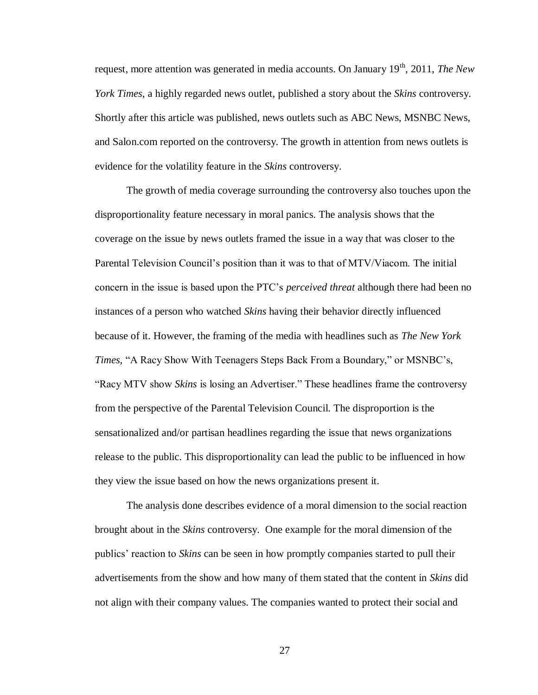request, more attention was generated in media accounts. On January 19th, 2011, *The New York Times*, a highly regarded news outlet, published a story about the *Skins* controversy. Shortly after this article was published, news outlets such as ABC News, MSNBC News, and Salon.com reported on the controversy. The growth in attention from news outlets is evidence for the volatility feature in the *Skins* controversy.

The growth of media coverage surrounding the controversy also touches upon the disproportionality feature necessary in moral panics. The analysis shows that the coverage on the issue by news outlets framed the issue in a way that was closer to the Parental Television Council's position than it was to that of MTV/Viacom. The initial concern in the issue is based upon the PTC's *perceived threat* although there had been no instances of a person who watched *Skins* having their behavior directly influenced because of it. However, the framing of the media with headlines such as *The New York Times,* "A Racy Show With Teenagers Steps Back From a Boundary," or MSNBC's, "Racy MTV show *Skins* is losing an Advertiser." These headlines frame the controversy from the perspective of the Parental Television Council. The disproportion is the sensationalized and/or partisan headlines regarding the issue that news organizations release to the public. This disproportionality can lead the public to be influenced in how they view the issue based on how the news organizations present it.

The analysis done describes evidence of a moral dimension to the social reaction brought about in the *Skins* controversy. One example for the moral dimension of the publics' reaction to *Skins* can be seen in how promptly companies started to pull their advertisements from the show and how many of them stated that the content in *Skins* did not align with their company values. The companies wanted to protect their social and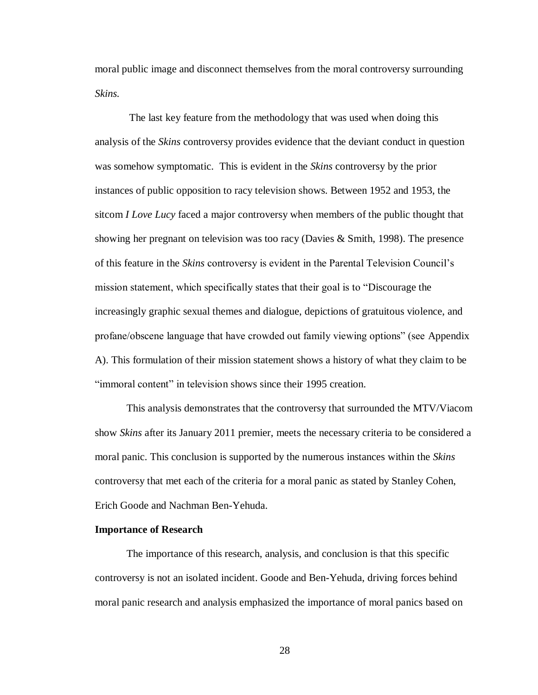moral public image and disconnect themselves from the moral controversy surrounding *Skins.*

The last key feature from the methodology that was used when doing this analysis of the *Skins* controversy provides evidence that the deviant conduct in question was somehow symptomatic. This is evident in the *Skins* controversy by the prior instances of public opposition to racy television shows. Between 1952 and 1953, the sitcom *I Love Lucy* faced a major controversy when members of the public thought that showing her pregnant on television was too racy (Davies & Smith, 1998). The presence of this feature in the *Skins* controversy is evident in the Parental Television Council's mission statement, which specifically states that their goal is to "Discourage the increasingly graphic sexual themes and dialogue, depictions of gratuitous violence, and profane/obscene language that have crowded out family viewing options" (see Appendix A). This formulation of their mission statement shows a history of what they claim to be "immoral content" in television shows since their 1995 creation.

This analysis demonstrates that the controversy that surrounded the MTV/Viacom show *Skins* after its January 2011 premier, meets the necessary criteria to be considered a moral panic. This conclusion is supported by the numerous instances within the *Skins*  controversy that met each of the criteria for a moral panic as stated by Stanley Cohen, Erich Goode and Nachman Ben-Yehuda.

#### **Importance of Research**

The importance of this research, analysis, and conclusion is that this specific controversy is not an isolated incident. Goode and Ben-Yehuda, driving forces behind moral panic research and analysis emphasized the importance of moral panics based on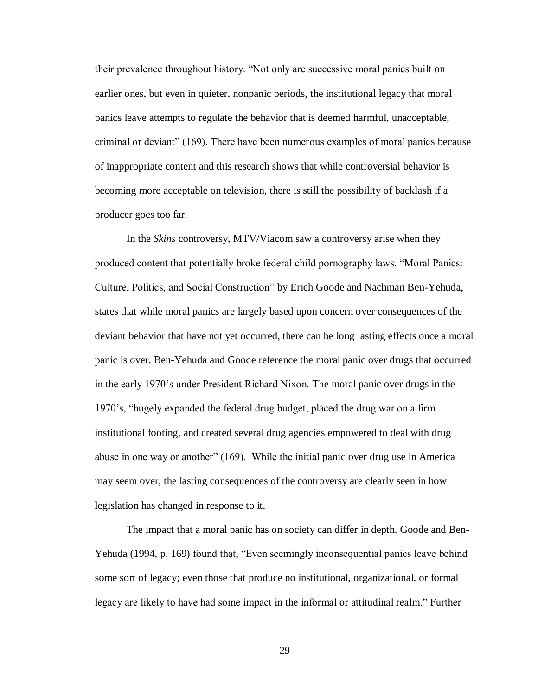their prevalence throughout history. "Not only are successive moral panics built on earlier ones, but even in quieter, nonpanic periods, the institutional legacy that moral panics leave attempts to regulate the behavior that is deemed harmful, unacceptable, criminal or deviant" (169). There have been numerous examples of moral panics because of inappropriate content and this research shows that while controversial behavior is becoming more acceptable on television, there is still the possibility of backlash if a producer goes too far.

In the *Skins* controversy, MTV/Viacom saw a controversy arise when they produced content that potentially broke federal child pornography laws. "Moral Panics: Culture, Politics, and Social Construction" by Erich Goode and Nachman Ben-Yehuda, states that while moral panics are largely based upon concern over consequences of the deviant behavior that have not yet occurred, there can be long lasting effects once a moral panic is over. Ben-Yehuda and Goode reference the moral panic over drugs that occurred in the early 1970's under President Richard Nixon. The moral panic over drugs in the 1970's, "hugely expanded the federal drug budget, placed the drug war on a firm institutional footing, and created several drug agencies empowered to deal with drug abuse in one way or another" (169). While the initial panic over drug use in America may seem over, the lasting consequences of the controversy are clearly seen in how legislation has changed in response to it.

The impact that a moral panic has on society can differ in depth. Goode and Ben-Yehuda (1994, p. 169) found that, "Even seemingly inconsequential panics leave behind some sort of legacy; even those that produce no institutional, organizational, or formal legacy are likely to have had some impact in the informal or attitudinal realm." Further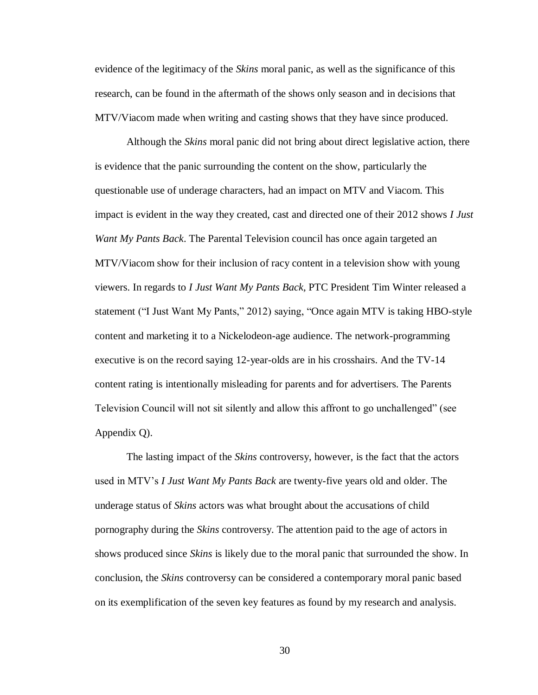evidence of the legitimacy of the *Skins* moral panic, as well as the significance of this research, can be found in the aftermath of the shows only season and in decisions that MTV/Viacom made when writing and casting shows that they have since produced.

Although the *Skins* moral panic did not bring about direct legislative action, there is evidence that the panic surrounding the content on the show, particularly the questionable use of underage characters, had an impact on MTV and Viacom. This impact is evident in the way they created, cast and directed one of their 2012 shows *I Just Want My Pants Back*. The Parental Television council has once again targeted an MTV/Viacom show for their inclusion of racy content in a television show with young viewers. In regards to *I Just Want My Pants Back,* PTC President Tim Winter released a statement ("I Just Want My Pants," 2012) saying, "Once again MTV is taking HBO-style content and marketing it to a Nickelodeon-age audience. The network-programming executive is on the record saying 12-year-olds are in his crosshairs. And the TV-14 content rating is intentionally misleading for parents and for advertisers. The Parents Television Council will not sit silently and allow this affront to go unchallenged" (see Appendix Q).

The lasting impact of the *Skins* controversy, however, is the fact that the actors used in MTV's *I Just Want My Pants Back* are twenty-five years old and older. The underage status of *Skins* actors was what brought about the accusations of child pornography during the *Skins* controversy. The attention paid to the age of actors in shows produced since *Skins* is likely due to the moral panic that surrounded the show. In conclusion, the *Skins* controversy can be considered a contemporary moral panic based on its exemplification of the seven key features as found by my research and analysis.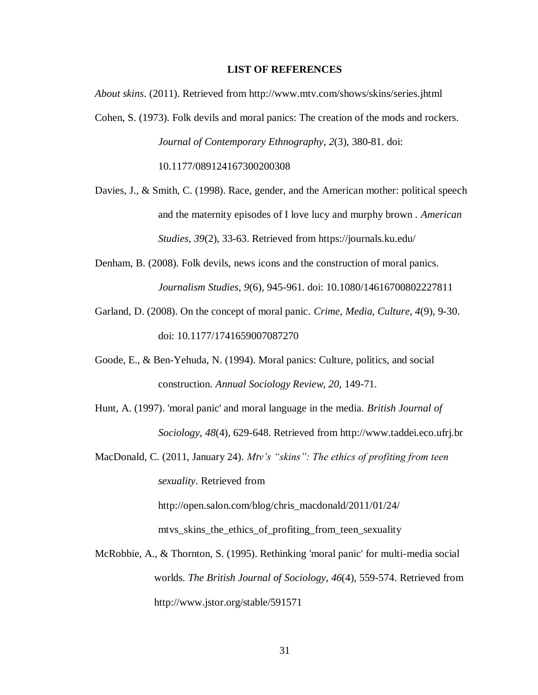#### **LIST OF REFERENCES**

*About skins*. (2011). Retrieved from http://www.mtv.com/shows/skins/series.jhtml

- Cohen, S. (1973). Folk devils and moral panics: The creation of the mods and rockers. *Journal of Contemporary Ethnography*, *2*(3), 380-81. doi: 10.1177/089124167300200308
- Davies, J., & Smith, C. (1998). Race, gender, and the American mother: political speech and the maternity episodes of I love lucy and murphy brown . *American Studies*, *39*(2), 33-63. Retrieved from https://journals.ku.edu/
- Denham, B. (2008). Folk devils, news icons and the construction of moral panics. *Journalism Studies*, *9*(6), 945-961. doi: 10.1080/14616700802227811
- Garland, D. (2008). On the concept of moral panic. *Crime, Media, Culture*, *4*(9), 9-30. doi: 10.1177/1741659007087270
- Goode, E., & Ben-Yehuda, N. (1994). Moral panics: Culture, politics, and social construction. *Annual Sociology Review*, *20*, 149-71.
- Hunt, A. (1997). 'moral panic' and moral language in the media. *British Journal of Sociology*, *48*(4), 629-648. Retrieved from http://www.taddei.eco.ufrj.br
- MacDonald, C. (2011, January 24). *Mtv's "skins": The ethics of profiting from teen sexuality*. Retrieved from http://open.salon.com/blog/chris\_macdonald/2011/01/24/

mtvs\_skins\_the\_ethics\_of\_profiting\_from\_teen\_sexuality

McRobbie, A., & Thornton, S. (1995). Rethinking 'moral panic' for multi-media social worlds. *The British Journal of Sociology*, *46*(4), 559-574. Retrieved from http://www.jstor.org/stable/591571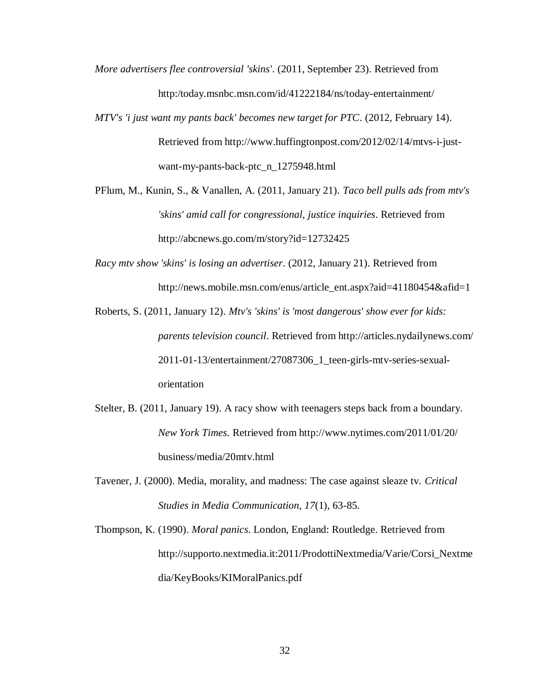- *More advertisers flee controversial 'skins'*. (2011, September 23). Retrieved from http:/today.msnbc.msn.com/id/41222184/ns/today-entertainment/
- *MTV's 'i just want my pants back' becomes new target for PTC*. (2012, February 14). Retrieved from http://www.huffingtonpost.com/2012/02/14/mtvs-i-justwant-my-pants-back-ptc\_n\_1275948.html
- PFlum, M., Kunin, S., & Vanallen, A. (2011, January 21). *Taco bell pulls ads from mtv's 'skins' amid call for congressional, justice inquiries*. Retrieved from http://abcnews.go.com/m/story?id=12732425
- *Racy mtv show 'skins' is losing an advertiser*. (2012, January 21). Retrieved from http://news.mobile.msn.com/enus/article\_ent.aspx?aid=41180454&afid=1
- Roberts, S. (2011, January 12). *Mtv's 'skins' is 'most dangerous' show ever for kids: parents television council*. Retrieved from http://articles.nydailynews.com/ 2011-01-13/entertainment/27087306\_1\_teen-girls-mtv-series-sexualorientation
- Stelter, B. (2011, January 19). A racy show with teenagers steps back from a boundary. *New York Times*. Retrieved from http://www.nytimes.com/2011/01/20/ business/media/20mtv.html
- Tavener, J. (2000). Media, morality, and madness: The case against sleaze tv. *Critical Studies in Media Communication*, *17*(1), 63-85.
- Thompson, K. (1990). *Moral panics*. London, England: Routledge. Retrieved from http://supporto.nextmedia.it:2011/ProdottiNextmedia/Varie/Corsi\_Nextme dia/KeyBooks/KIMoralPanics.pdf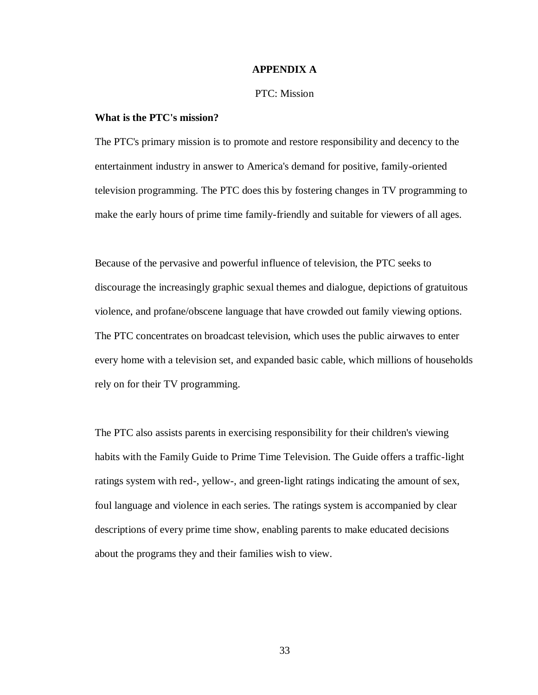### **APPENDIX A**

# PTC: Mission

# **What is the PTC's mission?**

The PTC's primary mission is to promote and restore responsibility and decency to the entertainment industry in answer to America's demand for positive, family-oriented television programming. The PTC does this by fostering changes in TV programming to make the early hours of prime time family-friendly and suitable for viewers of all ages.

Because of the pervasive and powerful influence of television, the PTC seeks to discourage the increasingly graphic sexual themes and dialogue, depictions of gratuitous violence, and profane/obscene language that have crowded out family viewing options. The PTC concentrates on broadcast television, which uses the public airwaves to enter every home with a television set, and expanded basic cable, which millions of households rely on for their TV programming.

The PTC also assists parents in exercising responsibility for their children's viewing habits with the Family Guide to Prime Time Television. The Guide offers a traffic-light ratings system with red-, yellow-, and green-light ratings indicating the amount of sex, foul language and violence in each series. The ratings system is accompanied by clear descriptions of every prime time show, enabling parents to make educated decisions about the programs they and their families wish to view.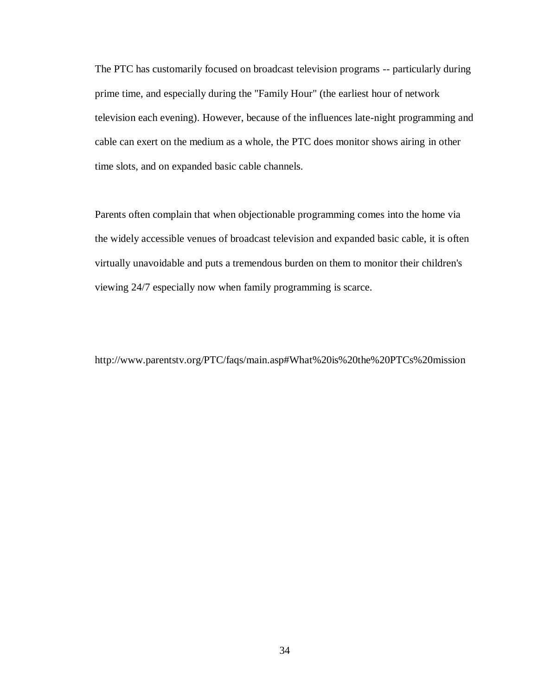The PTC has customarily focused on broadcast television programs -- particularly during prime time, and especially during the "Family Hour" (the earliest hour of network television each evening). However, because of the influences late-night programming and cable can exert on the medium as a whole, the PTC does monitor shows airing in other time slots, and on expanded basic cable channels.

Parents often complain that when objectionable programming comes into the home via the widely accessible venues of broadcast television and expanded basic cable, it is often virtually unavoidable and puts a tremendous burden on them to monitor their children's viewing 24/7 especially now when family programming is scarce.

http://www.parentstv.org/PTC/faqs/main.asp#What%20is%20the%20PTCs%20mission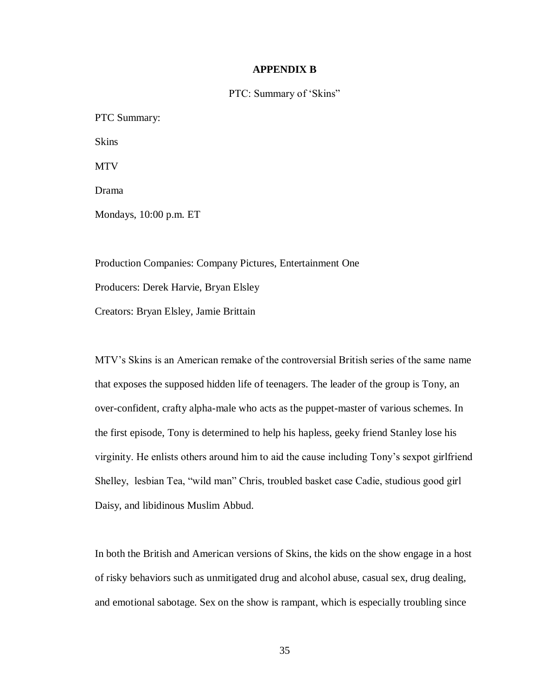# **APPENDIX B**

PTC: Summary of 'Skins"

PTC Summary: Skins MTV Drama Mondays, 10:00 p.m. ET

Production Companies: Company Pictures, Entertainment One Producers: Derek Harvie, Bryan Elsley Creators: Bryan Elsley, Jamie Brittain

MTV's Skins is an American remake of the controversial British series of the same name that exposes the supposed hidden life of teenagers. The leader of the group is Tony, an over-confident, crafty alpha-male who acts as the puppet-master of various schemes. In the first episode, Tony is determined to help his hapless, geeky friend Stanley lose his virginity. He enlists others around him to aid the cause including Tony's sexpot girlfriend Shelley, lesbian Tea, "wild man" Chris, troubled basket case Cadie, studious good girl Daisy, and libidinous Muslim Abbud.

In both the British and American versions of Skins, the kids on the show engage in a host of risky behaviors such as unmitigated drug and alcohol abuse, casual sex, drug dealing, and emotional sabotage. Sex on the show is rampant, which is especially troubling since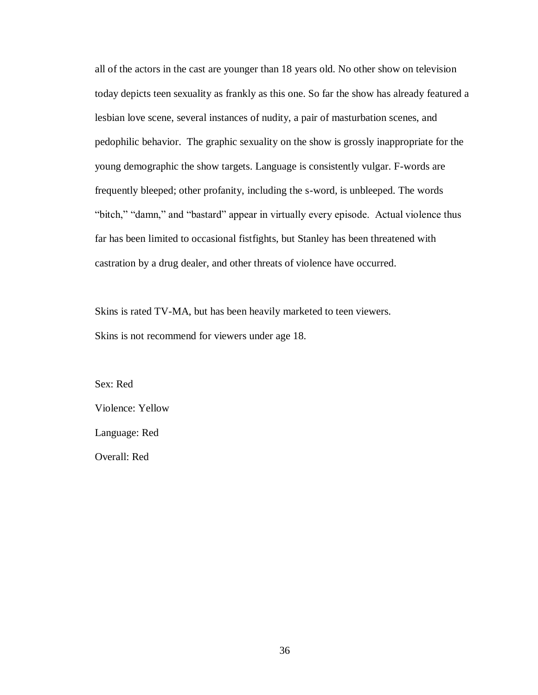all of the actors in the cast are younger than 18 years old. No other show on television today depicts teen sexuality as frankly as this one. So far the show has already featured a lesbian love scene, several instances of nudity, a pair of masturbation scenes, and pedophilic behavior. The graphic sexuality on the show is grossly inappropriate for the young demographic the show targets. Language is consistently vulgar. F-words are frequently bleeped; other profanity, including the s-word, is unbleeped. The words "bitch," "damn," and "bastard" appear in virtually every episode. Actual violence thus far has been limited to occasional fistfights, but Stanley has been threatened with castration by a drug dealer, and other threats of violence have occurred.

Skins is rated TV-MA, but has been heavily marketed to teen viewers. Skins is not recommend for viewers under age 18.

Sex: Red Violence: Yellow Language: Red Overall: Red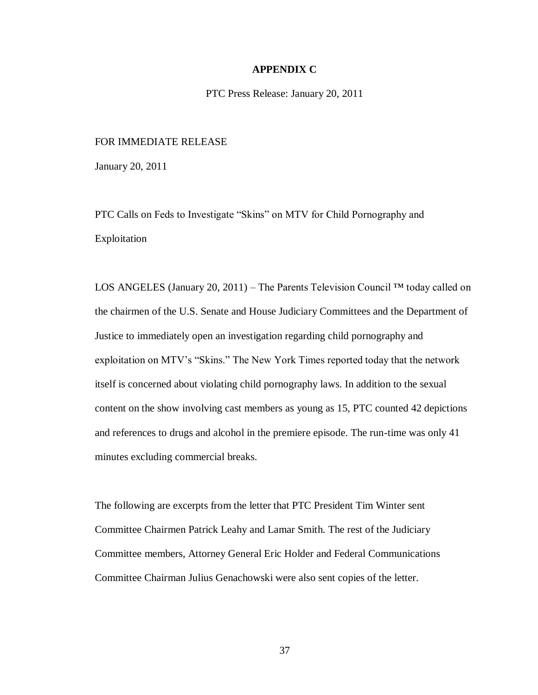## **APPENDIX C**

PTC Press Release: January 20, 2011

# FOR IMMEDIATE RELEASE

January 20, 2011

PTC Calls on Feds to Investigate "Skins" on MTV for Child Pornography and Exploitation

LOS ANGELES (January 20, 2011) – The Parents Television Council ™ today called on the chairmen of the U.S. Senate and House Judiciary Committees and the Department of Justice to immediately open an investigation regarding child pornography and exploitation on MTV's "Skins." The New York Times reported today that the network itself is concerned about violating child pornography laws. In addition to the sexual content on the show involving cast members as young as 15, PTC counted 42 depictions and references to drugs and alcohol in the premiere episode. The run-time was only 41 minutes excluding commercial breaks.

The following are excerpts from the letter that PTC President Tim Winter sent Committee Chairmen Patrick Leahy and Lamar Smith. The rest of the Judiciary Committee members, Attorney General Eric Holder and Federal Communications Committee Chairman Julius Genachowski were also sent copies of the letter.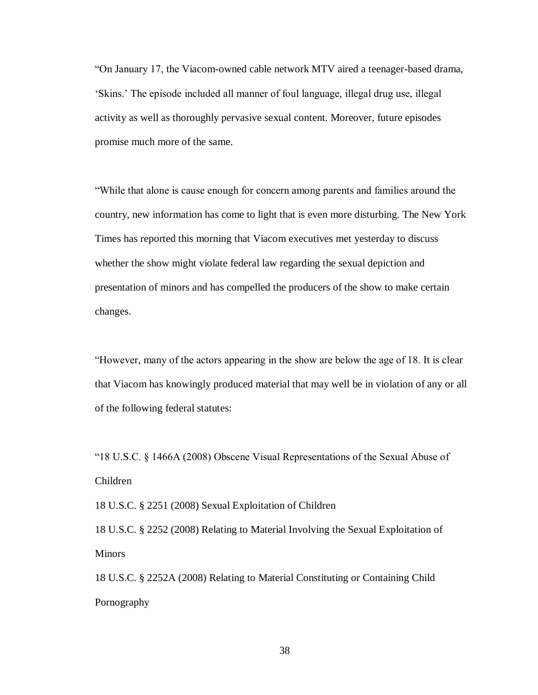"On January 17, the Viacom-owned cable network MTV aired a teenager-based drama, 'Skins.' The episode included all manner of foul language, illegal drug use, illegal activity as well as thoroughly pervasive sexual content. Moreover, future episodes promise much more of the same.

"While that alone is cause enough for concern among parents and families around the country, new information has come to light that is even more disturbing. The New York Times has reported this morning that Viacom executives met yesterday to discuss whether the show might violate federal law regarding the sexual depiction and presentation of minors and has compelled the producers of the show to make certain changes.

"However, many of the actors appearing in the show are below the age of 18. It is clear that Viacom has knowingly produced material that may well be in violation of any or all of the following federal statutes:

"18 U.S.C. § 1466A (2008) Obscene Visual Representations of the Sexual Abuse of Children

18 U.S.C. § 2251 (2008) Sexual Exploitation of Children

18 U.S.C. § 2252 (2008) Relating to Material Involving the Sexual Exploitation of **Minors** 

18 U.S.C. § 2252A (2008) Relating to Material Constituting or Containing Child Pornography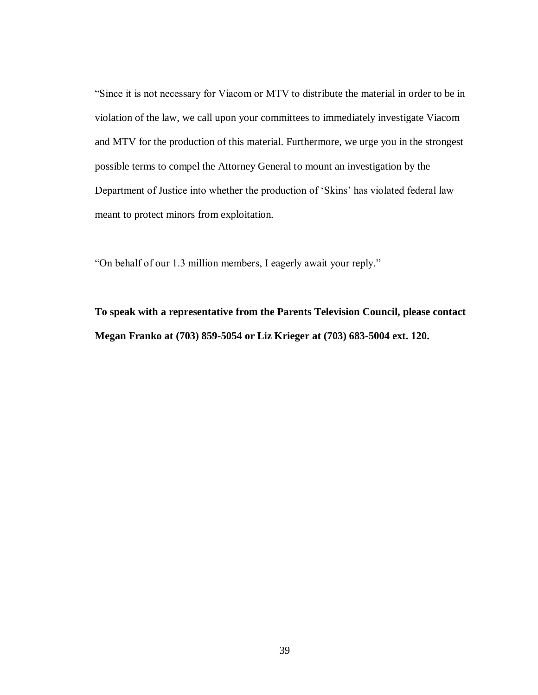"Since it is not necessary for Viacom or MTV to distribute the material in order to be in violation of the law, we call upon your committees to immediately investigate Viacom and MTV for the production of this material. Furthermore, we urge you in the strongest possible terms to compel the Attorney General to mount an investigation by the Department of Justice into whether the production of 'Skins' has violated federal law meant to protect minors from exploitation.

"On behalf of our 1.3 million members, I eagerly await your reply."

**To speak with a representative from the Parents Television Council, please contact Megan Franko at (703) 859-5054 or Liz Krieger at (703) 683-5004 ext. 120.**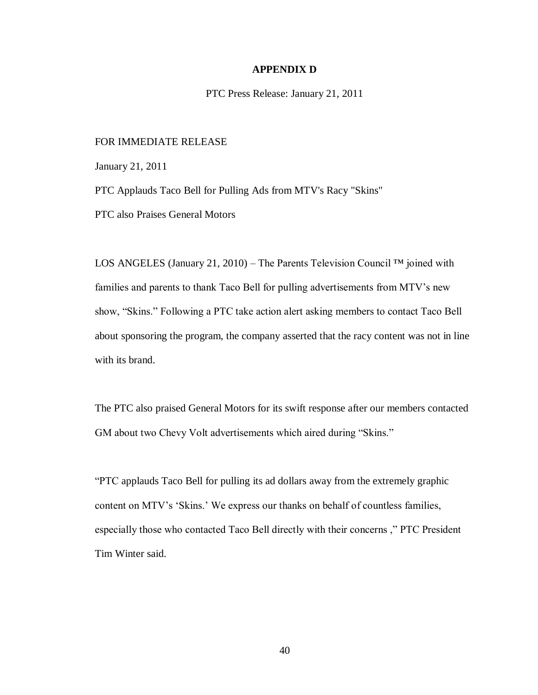### **APPENDIX D**

PTC Press Release: January 21, 2011

# FOR IMMEDIATE RELEASE

January 21, 2011

PTC Applauds Taco Bell for Pulling Ads from MTV's Racy "Skins"

PTC also Praises General Motors

LOS ANGELES (January 21, 2010) – The Parents Television Council ™ joined with families and parents to thank Taco Bell for pulling advertisements from MTV's new show, "Skins." Following a PTC take action alert asking members to contact Taco Bell about sponsoring the program, the company asserted that the racy content was not in line with its brand.

The PTC also praised General Motors for its swift response after our members contacted GM about two Chevy Volt advertisements which aired during "Skins."

"PTC applauds Taco Bell for pulling its ad dollars away from the extremely graphic content on MTV's 'Skins.' We express our thanks on behalf of countless families, especially those who contacted Taco Bell directly with their concerns ," PTC President Tim Winter said.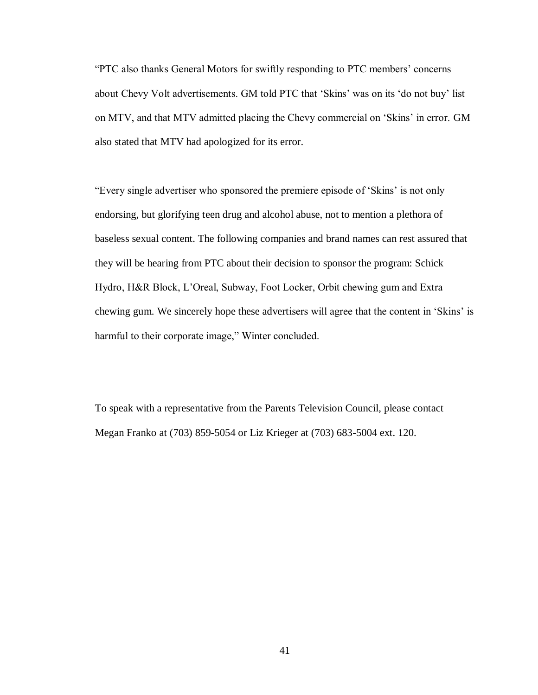"PTC also thanks General Motors for swiftly responding to PTC members' concerns about Chevy Volt advertisements. GM told PTC that 'Skins' was on its 'do not buy' list on MTV, and that MTV admitted placing the Chevy commercial on 'Skins' in error. GM also stated that MTV had apologized for its error.

"Every single advertiser who sponsored the premiere episode of 'Skins' is not only endorsing, but glorifying teen drug and alcohol abuse, not to mention a plethora of baseless sexual content. The following companies and brand names can rest assured that they will be hearing from PTC about their decision to sponsor the program: Schick Hydro, H&R Block, L'Oreal, Subway, Foot Locker, Orbit chewing gum and Extra chewing gum. We sincerely hope these advertisers will agree that the content in 'Skins' is harmful to their corporate image," Winter concluded.

To speak with a representative from the Parents Television Council, please contact Megan Franko at (703) 859-5054 or Liz Krieger at (703) 683-5004 ext. 120.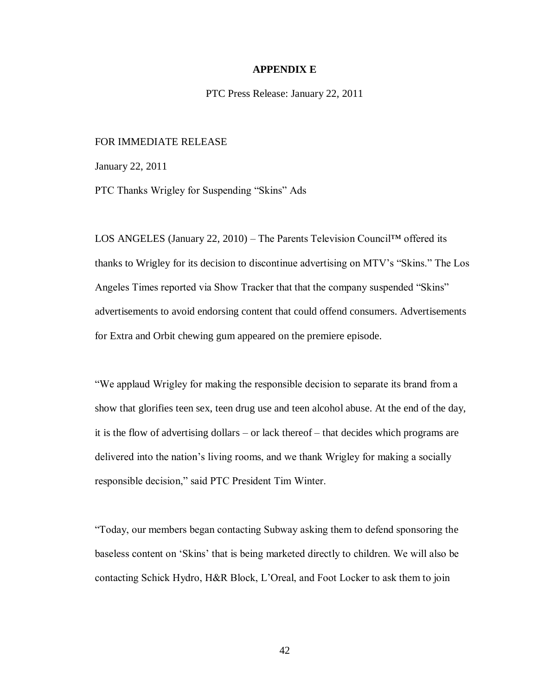### **APPENDIX E**

PTC Press Release: January 22, 2011

## FOR IMMEDIATE RELEASE

January 22, 2011

PTC Thanks Wrigley for Suspending "Skins" Ads

LOS ANGELES (January 22, 2010) – The Parents Television Council™ offered its thanks to Wrigley for its decision to discontinue advertising on MTV's "Skins." The Los Angeles Times reported via Show Tracker that that the company suspended "Skins" advertisements to avoid endorsing content that could offend consumers. Advertisements for Extra and Orbit chewing gum appeared on the premiere episode.

"We applaud Wrigley for making the responsible decision to separate its brand from a show that glorifies teen sex, teen drug use and teen alcohol abuse. At the end of the day, it is the flow of advertising dollars – or lack thereof – that decides which programs are delivered into the nation's living rooms, and we thank Wrigley for making a socially responsible decision," said PTC President Tim Winter.

"Today, our members began contacting Subway asking them to defend sponsoring the baseless content on 'Skins' that is being marketed directly to children. We will also be contacting Schick Hydro, H&R Block, L'Oreal, and Foot Locker to ask them to join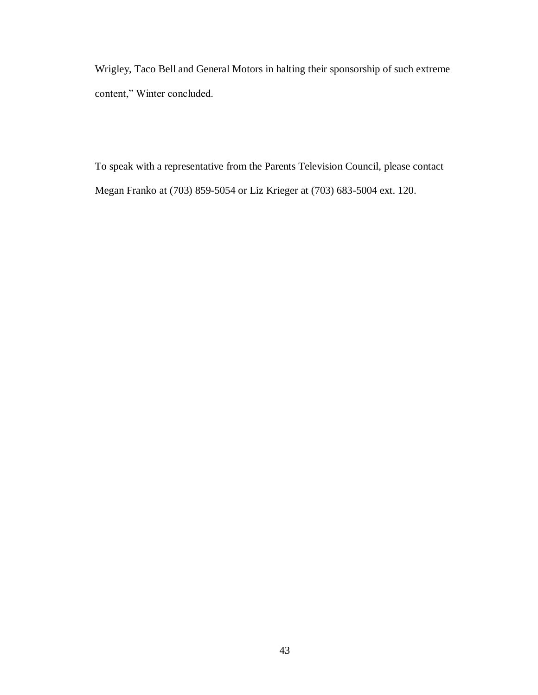Wrigley, Taco Bell and General Motors in halting their sponsorship of such extreme content," Winter concluded.

To speak with a representative from the Parents Television Council, please contact Megan Franko at (703) 859-5054 or Liz Krieger at (703) 683-5004 ext. 120.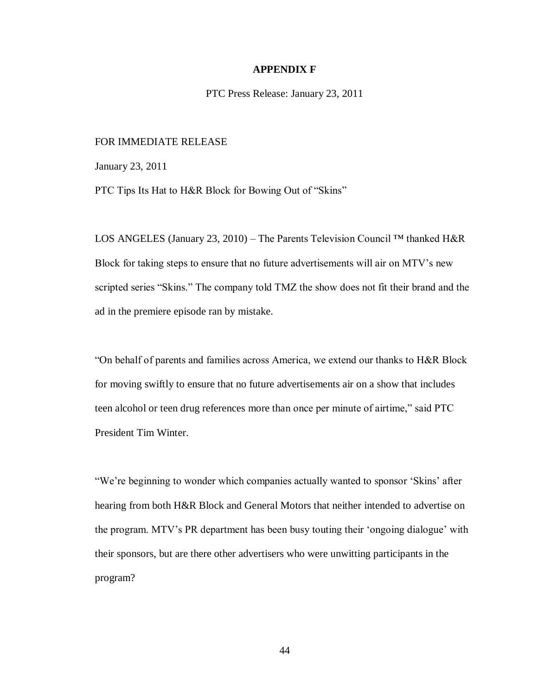#### **APPENDIX F**

PTC Press Release: January 23, 2011

## FOR IMMEDIATE RELEASE

January 23, 2011

PTC Tips Its Hat to H&R Block for Bowing Out of "Skins"

LOS ANGELES (January 23, 2010) – The Parents Television Council ™ thanked H&R Block for taking steps to ensure that no future advertisements will air on MTV's new scripted series "Skins." The company told TMZ the show does not fit their brand and the ad in the premiere episode ran by mistake.

"On behalf of parents and families across America, we extend our thanks to H&R Block for moving swiftly to ensure that no future advertisements air on a show that includes teen alcohol or teen drug references more than once per minute of airtime," said PTC President Tim Winter.

"We're beginning to wonder which companies actually wanted to sponsor 'Skins' after hearing from both H&R Block and General Motors that neither intended to advertise on the program. MTV's PR department has been busy touting their 'ongoing dialogue' with their sponsors, but are there other advertisers who were unwitting participants in the program?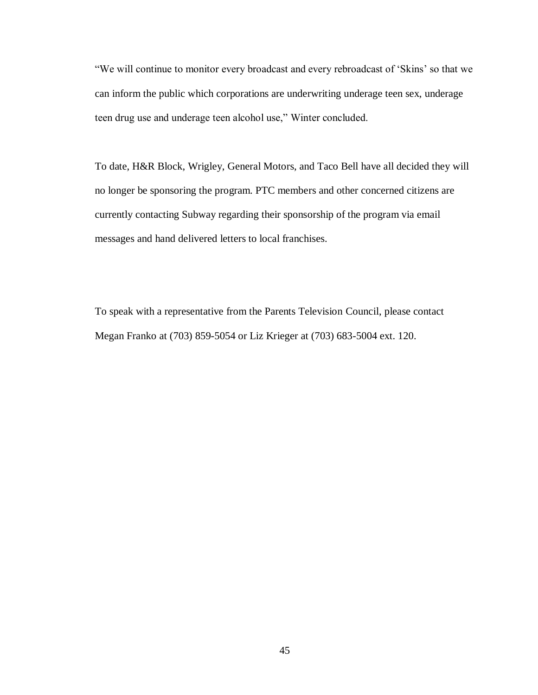"We will continue to monitor every broadcast and every rebroadcast of 'Skins' so that we can inform the public which corporations are underwriting underage teen sex, underage teen drug use and underage teen alcohol use," Winter concluded.

To date, H&R Block, Wrigley, General Motors, and Taco Bell have all decided they will no longer be sponsoring the program. PTC members and other concerned citizens are currently contacting Subway regarding their sponsorship of the program via email messages and hand delivered letters to local franchises.

To speak with a representative from the Parents Television Council, please contact Megan Franko at (703) 859-5054 or Liz Krieger at (703) 683-5004 ext. 120.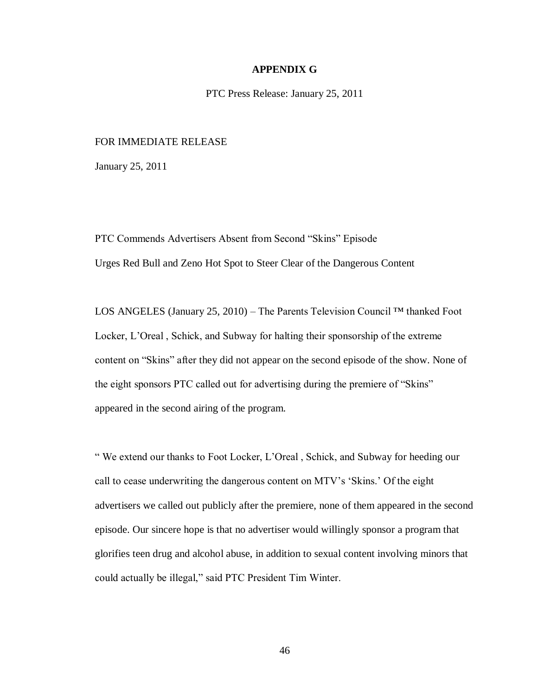# **APPENDIX G**

PTC Press Release: January 25, 2011

# FOR IMMEDIATE RELEASE

January 25, 2011

PTC Commends Advertisers Absent from Second "Skins" Episode Urges Red Bull and Zeno Hot Spot to Steer Clear of the Dangerous Content

LOS ANGELES (January 25, 2010) – The Parents Television Council ™ thanked Foot Locker, L'Oreal , Schick, and Subway for halting their sponsorship of the extreme content on "Skins" after they did not appear on the second episode of the show. None of the eight sponsors PTC called out for advertising during the premiere of "Skins" appeared in the second airing of the program.

" We extend our thanks to Foot Locker, L'Oreal , Schick, and Subway for heeding our call to cease underwriting the dangerous content on MTV's 'Skins.' Of the eight advertisers we called out publicly after the premiere, none of them appeared in the second episode. Our sincere hope is that no advertiser would willingly sponsor a program that glorifies teen drug and alcohol abuse, in addition to sexual content involving minors that could actually be illegal," said PTC President Tim Winter.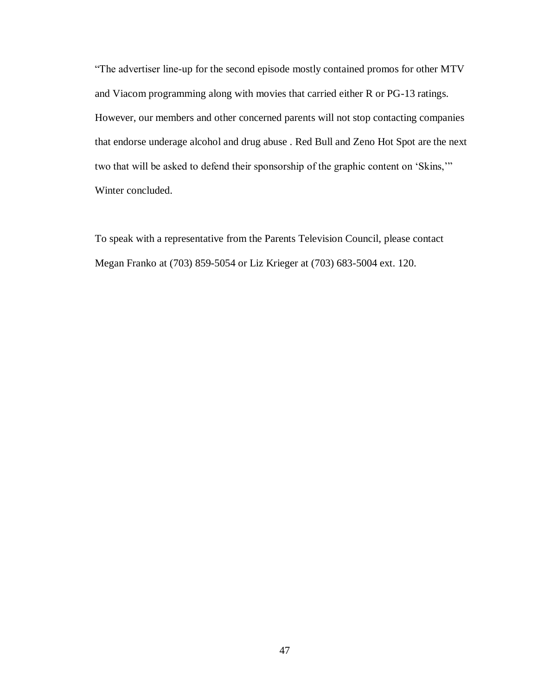"The advertiser line-up for the second episode mostly contained promos for other MTV and Viacom programming along with movies that carried either R or PG-13 ratings. However, our members and other concerned parents will not stop contacting companies that endorse underage alcohol and drug abuse . Red Bull and Zeno Hot Spot are the next two that will be asked to defend their sponsorship of the graphic content on 'Skins,'" Winter concluded.

To speak with a representative from the Parents Television Council, please contact Megan Franko at (703) 859-5054 or Liz Krieger at (703) 683-5004 ext. 120.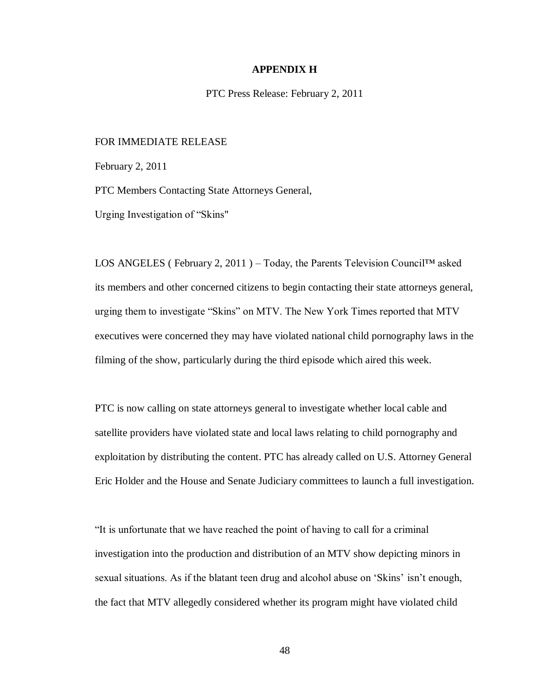### **APPENDIX H**

PTC Press Release: February 2, 2011

## FOR IMMEDIATE RELEASE

February 2, 2011

PTC Members Contacting State Attorneys General,

Urging Investigation of "Skins"

LOS ANGELES (February 2, 2011) – Today, the Parents Television Council™ asked its members and other concerned citizens to begin contacting their state attorneys general, urging them to investigate "Skins" on MTV. The New York Times reported that MTV executives were concerned they may have violated national child pornography laws in the filming of the show, particularly during the third episode which aired this week.

PTC is now calling on state attorneys general to investigate whether local cable and satellite providers have violated state and local laws relating to child pornography and exploitation by distributing the content. PTC has already called on U.S. Attorney General Eric Holder and the House and Senate Judiciary committees to launch a full investigation.

"It is unfortunate that we have reached the point of having to call for a criminal investigation into the production and distribution of an MTV show depicting minors in sexual situations. As if the blatant teen drug and alcohol abuse on 'Skins' isn't enough, the fact that MTV allegedly considered whether its program might have violated child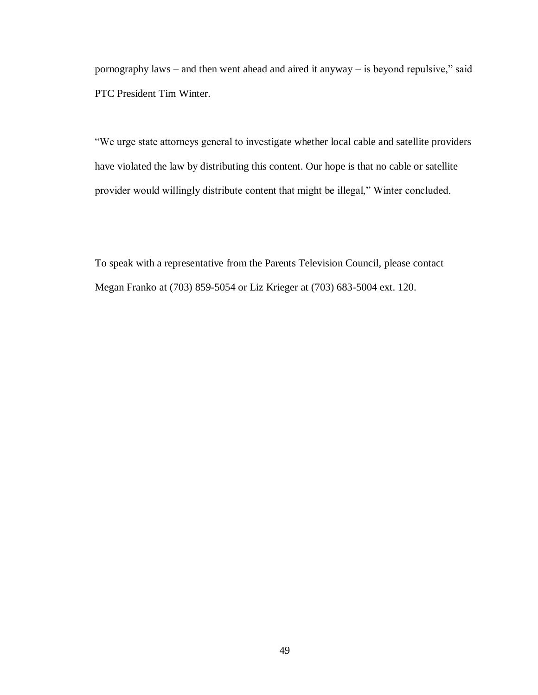pornography laws – and then went ahead and aired it anyway – is beyond repulsive," said PTC President Tim Winter.

"We urge state attorneys general to investigate whether local cable and satellite providers have violated the law by distributing this content. Our hope is that no cable or satellite provider would willingly distribute content that might be illegal," Winter concluded.

To speak with a representative from the Parents Television Council, please contact Megan Franko at (703) 859-5054 or Liz Krieger at (703) 683-5004 ext. 120.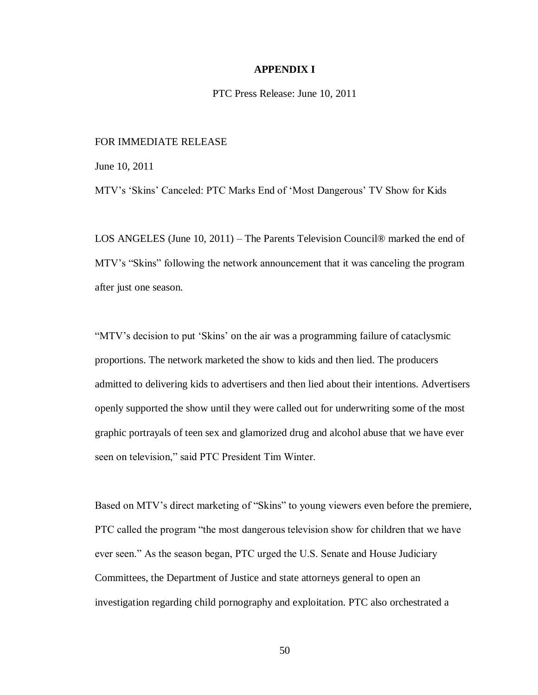## **APPENDIX I**

PTC Press Release: June 10, 2011

# FOR IMMEDIATE RELEASE

June 10, 2011

MTV's 'Skins' Canceled: PTC Marks End of 'Most Dangerous' TV Show for Kids

LOS ANGELES (June 10, 2011) – The Parents Television Council® marked the end of MTV's "Skins" following the network announcement that it was canceling the program after just one season.

"MTV's decision to put 'Skins' on the air was a programming failure of cataclysmic proportions. The network marketed the show to kids and then lied. The producers admitted to delivering kids to advertisers and then lied about their intentions. Advertisers openly supported the show until they were called out for underwriting some of the most graphic portrayals of teen sex and glamorized drug and alcohol abuse that we have ever seen on television," said PTC President Tim Winter.

Based on MTV's direct marketing of "Skins" to young viewers even before the premiere, PTC called the program "the most dangerous television show for children that we have ever seen." As the season began, PTC urged the U.S. Senate and House Judiciary Committees, the Department of Justice and state attorneys general to open an investigation regarding child pornography and exploitation. PTC also orchestrated a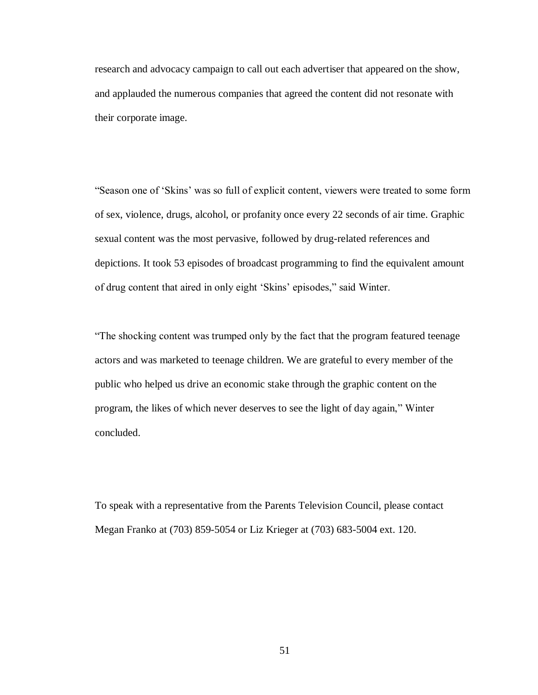research and advocacy campaign to call out each advertiser that appeared on the show, and applauded the numerous companies that agreed the content did not resonate with their corporate image.

"Season one of 'Skins' was so full of explicit content, viewers were treated to some form of sex, violence, drugs, alcohol, or profanity once every 22 seconds of air time. Graphic sexual content was the most pervasive, followed by drug-related references and depictions. It took 53 episodes of broadcast programming to find the equivalent amount of drug content that aired in only eight 'Skins' episodes," said Winter.

"The shocking content was trumped only by the fact that the program featured teenage actors and was marketed to teenage children. We are grateful to every member of the public who helped us drive an economic stake through the graphic content on the program, the likes of which never deserves to see the light of day again," Winter concluded.

To speak with a representative from the Parents Television Council, please contact Megan Franko at (703) 859-5054 or Liz Krieger at (703) 683-5004 ext. 120.

51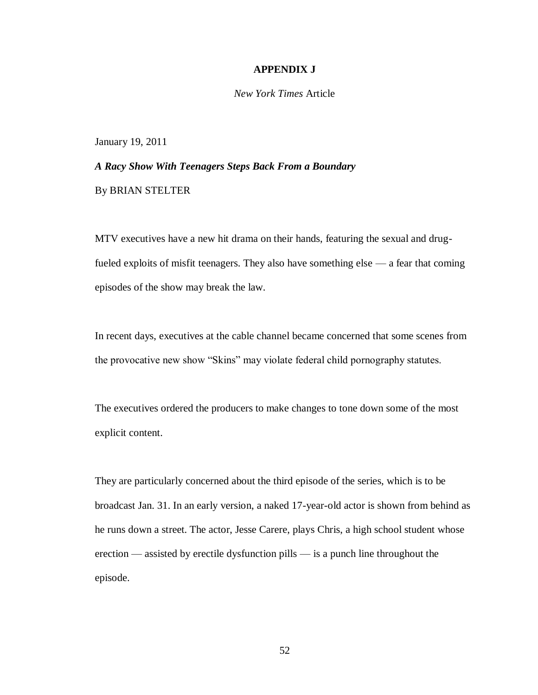#### **APPENDIX J**

*New York Times* Article

January 19, 2011

*A Racy Show With Teenagers Steps Back From a Boundary* By BRIAN STELTER

MTV executives have a new hit drama on their hands, featuring the sexual and drugfueled exploits of misfit teenagers. They also have something else — a fear that coming episodes of the show may break the law.

In recent days, executives at the cable channel became concerned that some scenes from the provocative new show "Skins" may violate federal child pornography statutes.

The executives ordered the producers to make changes to tone down some of the most explicit content.

They are particularly concerned about the third episode of the series, which is to be broadcast Jan. 31. In an early version, a naked 17-year-old actor is shown from behind as he runs down a street. The actor, Jesse Carere, plays Chris, a high school student whose erection — assisted by erectile dysfunction pills — is a punch line throughout the episode.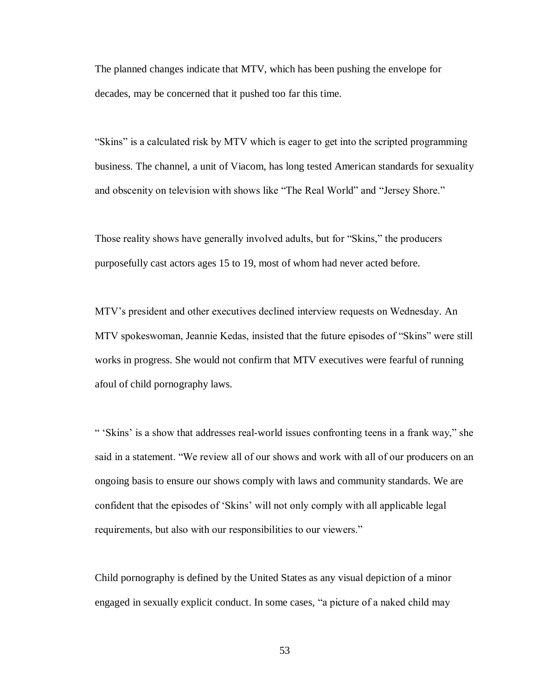The planned changes indicate that MTV, which has been pushing the envelope for decades, may be concerned that it pushed too far this time.

"Skins" is a calculated risk by MTV which is eager to get into the scripted programming business. The channel, a unit of Viacom, has long tested American standards for sexuality and obscenity on television with shows like "The Real World" and "Jersey Shore."

Those reality shows have generally involved adults, but for "Skins," the producers purposefully cast actors ages 15 to 19, most of whom had never acted before.

MTV's president and other executives declined interview requests on Wednesday. An MTV spokeswoman, Jeannie Kedas, insisted that the future episodes of "Skins" were still works in progress. She would not confirm that MTV executives were fearful of running afoul of child pornography laws.

" 'Skins' is a show that addresses real-world issues confronting teens in a frank way," she said in a statement. "We review all of our shows and work with all of our producers on an ongoing basis to ensure our shows comply with laws and community standards. We are confident that the episodes of 'Skins' will not only comply with all applicable legal requirements, but also with our responsibilities to our viewers."

Child pornography is defined by the United States as any visual depiction of a minor engaged in sexually explicit conduct. In some cases, "a picture of a naked child may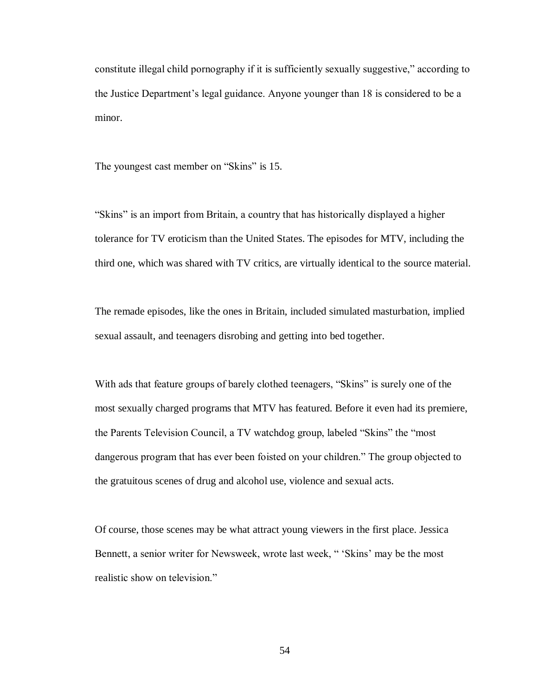constitute illegal child pornography if it is sufficiently sexually suggestive," according to the Justice Department's legal guidance. Anyone younger than 18 is considered to be a minor.

The youngest cast member on "Skins" is 15.

"Skins" is an import from Britain, a country that has historically displayed a higher tolerance for TV eroticism than the United States. The episodes for MTV, including the third one, which was shared with TV critics, are virtually identical to the source material.

The remade episodes, like the ones in Britain, included simulated masturbation, implied sexual assault, and teenagers disrobing and getting into bed together.

With ads that feature groups of barely clothed teenagers, "Skins" is surely one of the most sexually charged programs that MTV has featured. Before it even had its premiere, the Parents Television Council, a TV watchdog group, labeled "Skins" the "most dangerous program that has ever been foisted on your children." The group objected to the gratuitous scenes of drug and alcohol use, violence and sexual acts.

Of course, those scenes may be what attract young viewers in the first place. Jessica Bennett, a senior writer for Newsweek, wrote last week, " 'Skins' may be the most realistic show on television."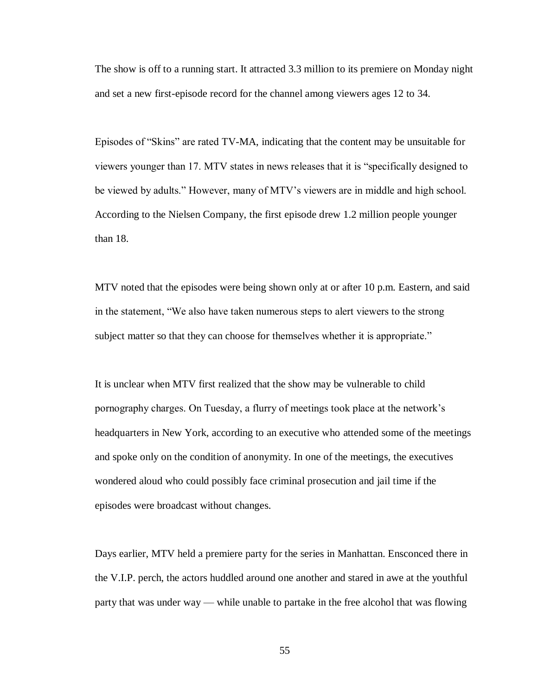The show is off to a running start. It attracted 3.3 million to its premiere on Monday night and set a new first-episode record for the channel among viewers ages 12 to 34.

Episodes of "Skins" are rated TV-MA, indicating that the content may be unsuitable for viewers younger than 17. MTV states in news releases that it is "specifically designed to be viewed by adults." However, many of MTV's viewers are in middle and high school. According to the Nielsen Company, the first episode drew 1.2 million people younger than 18.

MTV noted that the episodes were being shown only at or after 10 p.m. Eastern, and said in the statement, "We also have taken numerous steps to alert viewers to the strong subject matter so that they can choose for themselves whether it is appropriate."

It is unclear when MTV first realized that the show may be vulnerable to child pornography charges. On Tuesday, a flurry of meetings took place at the network's headquarters in New York, according to an executive who attended some of the meetings and spoke only on the condition of anonymity. In one of the meetings, the executives wondered aloud who could possibly face criminal prosecution and jail time if the episodes were broadcast without changes.

Days earlier, MTV held a premiere party for the series in Manhattan. Ensconced there in the V.I.P. perch, the actors huddled around one another and stared in awe at the youthful party that was under way — while unable to partake in the free alcohol that was flowing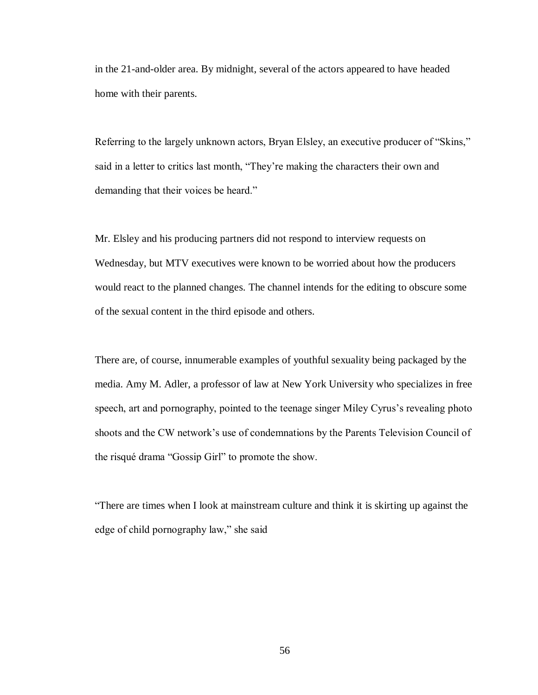in the 21-and-older area. By midnight, several of the actors appeared to have headed home with their parents.

Referring to the largely unknown actors, Bryan Elsley, an executive producer of "Skins," said in a letter to critics last month, "They're making the characters their own and demanding that their voices be heard."

Mr. Elsley and his producing partners did not respond to interview requests on Wednesday, but MTV executives were known to be worried about how the producers would react to the planned changes. The channel intends for the editing to obscure some of the sexual content in the third episode and others.

There are, of course, innumerable examples of youthful sexuality being packaged by the media. Amy M. Adler, a professor of law at New York University who specializes in free speech, art and pornography, pointed to the teenage singer Miley Cyrus's revealing photo shoots and the CW network's use of condemnations by the Parents Television Council of the risqué drama "Gossip Girl" to promote the show.

"There are times when I look at mainstream culture and think it is skirting up against the edge of child pornography law," she said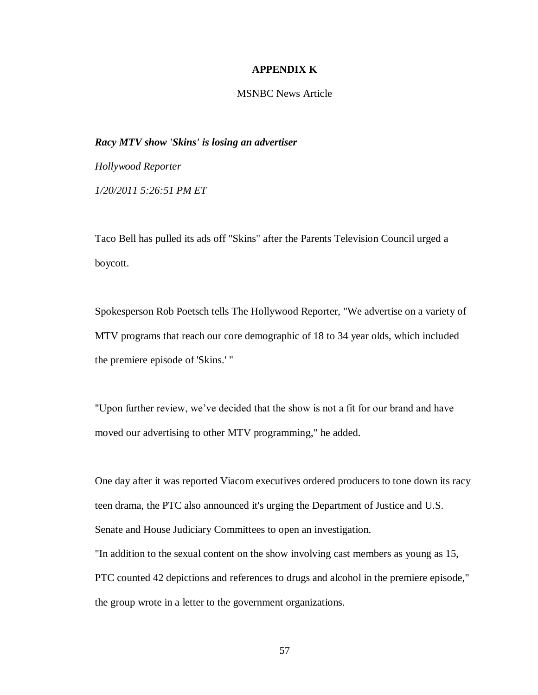# **APPENDIX K**

# MSNBC News Article

# *Racy MTV show 'Skins' is losing an advertiser*

*Hollywood Reporter 1/20/2011 5:26:51 PM ET*

Taco Bell has pulled its ads off "Skins" after the Parents Television Council urged a boycott.

Spokesperson Rob Poetsch tells The Hollywood Reporter, "We advertise on a variety of MTV programs that reach our core demographic of 18 to 34 year olds, which included the premiere episode of 'Skins.' "

"Upon further review, we've decided that the show is not a fit for our brand and have moved our advertising to other MTV programming," he added.

One day after it was reported Viacom executives ordered producers to tone down its racy teen drama, the PTC also announced it's urging the Department of Justice and U.S. Senate and House Judiciary Committees to open an investigation.

"In addition to the sexual content on the show involving cast members as young as 15, PTC counted 42 depictions and references to drugs and alcohol in the premiere episode," the group wrote in a letter to the government organizations.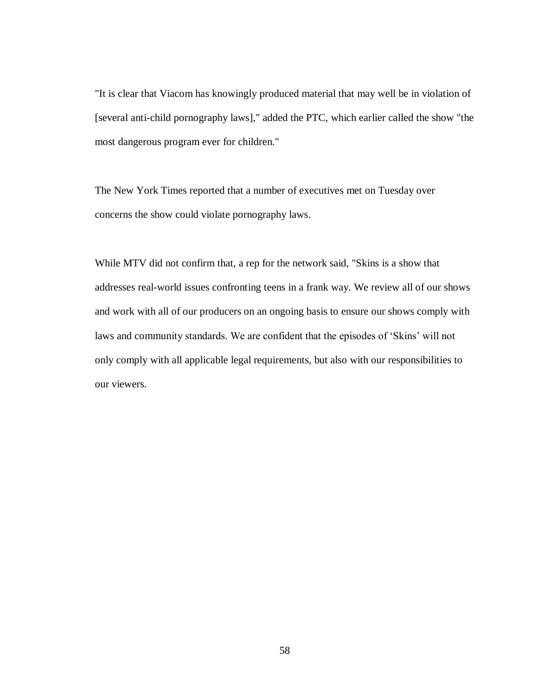"It is clear that Viacom has knowingly produced material that may well be in violation of [several anti-child pornography laws]," added the PTC, which earlier called the show "the most dangerous program ever for children."

The New York Times reported that a number of executives met on Tuesday over concerns the show could violate pornography laws.

While MTV did not confirm that, a rep for the network said, "Skins is a show that addresses real-world issues confronting teens in a frank way. We review all of our shows and work with all of our producers on an ongoing basis to ensure our shows comply with laws and community standards. We are confident that the episodes of 'Skins' will not only comply with all applicable legal requirements, but also with our responsibilities to our viewers.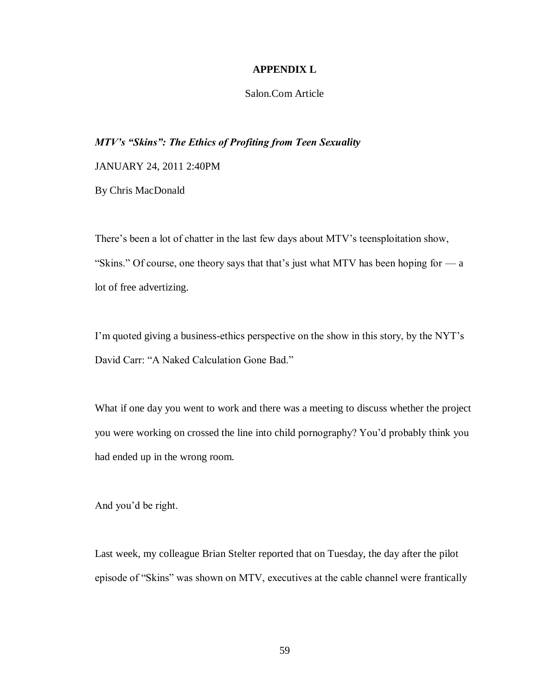# **APPENDIX L**

# Salon.Com Article

# *MTV's "Skins": The Ethics of Profiting from Teen Sexuality*

JANUARY 24, 2011 2:40PM

By Chris MacDonald

There's been a lot of chatter in the last few days about MTV's teensploitation show, "Skins." Of course, one theory says that that's just what MTV has been hoping for  $-a$ lot of free advertizing.

I'm quoted giving a business-ethics perspective on the show in this story, by the NYT's David Carr: "A Naked Calculation Gone Bad."

What if one day you went to work and there was a meeting to discuss whether the project you were working on crossed the line into child pornography? You'd probably think you had ended up in the wrong room.

And you'd be right.

Last week, my colleague Brian Stelter reported that on Tuesday, the day after the pilot episode of "Skins" was shown on MTV, executives at the cable channel were frantically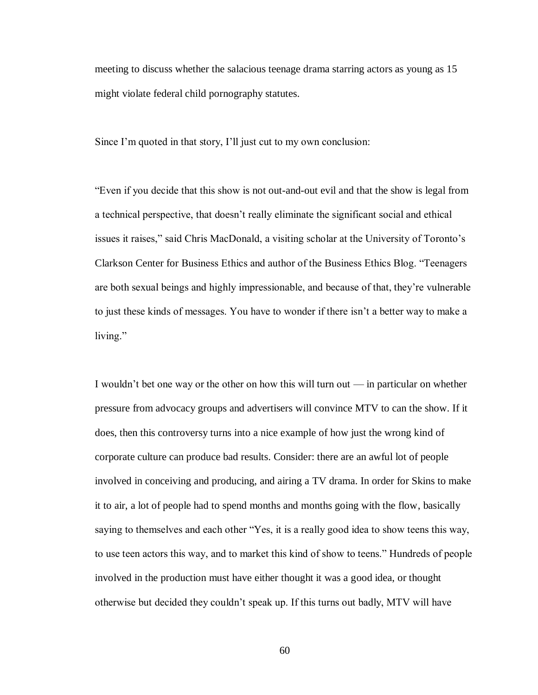meeting to discuss whether the salacious teenage drama starring actors as young as 15 might violate federal child pornography statutes.

Since I'm quoted in that story, I'll just cut to my own conclusion:

"Even if you decide that this show is not out-and-out evil and that the show is legal from a technical perspective, that doesn't really eliminate the significant social and ethical issues it raises," said Chris MacDonald, a visiting scholar at the University of Toronto's Clarkson Center for Business Ethics and author of the Business Ethics Blog. "Teenagers are both sexual beings and highly impressionable, and because of that, they're vulnerable to just these kinds of messages. You have to wonder if there isn't a better way to make a living."

I wouldn't bet one way or the other on how this will turn out — in particular on whether pressure from advocacy groups and advertisers will convince MTV to can the show. If it does, then this controversy turns into a nice example of how just the wrong kind of corporate culture can produce bad results. Consider: there are an awful lot of people involved in conceiving and producing, and airing a TV drama. In order for Skins to make it to air, a lot of people had to spend months and months going with the flow, basically saying to themselves and each other "Yes, it is a really good idea to show teens this way, to use teen actors this way, and to market this kind of show to teens." Hundreds of people involved in the production must have either thought it was a good idea, or thought otherwise but decided they couldn't speak up. If this turns out badly, MTV will have

60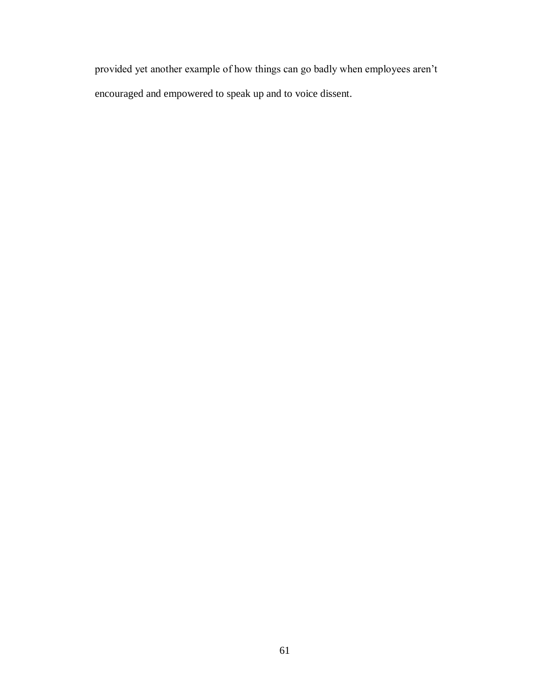provided yet another example of how things can go badly when employees aren't encouraged and empowered to speak up and to voice dissent.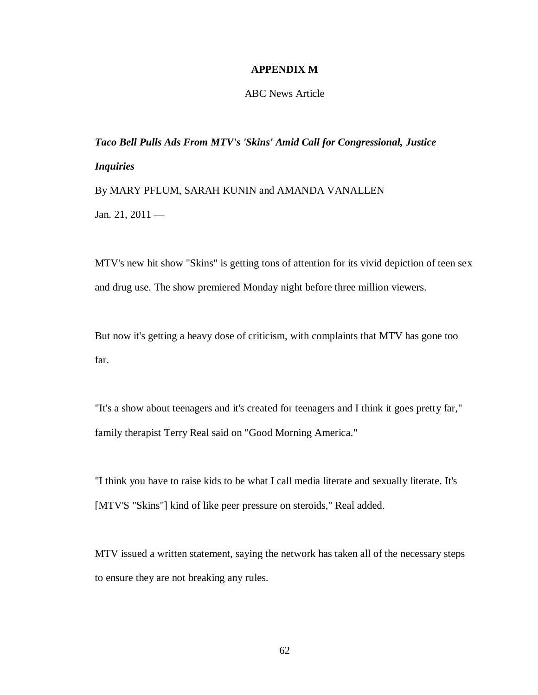# **APPENDIX M**

# ABC News Article

*Taco Bell Pulls Ads From MTV's 'Skins' Amid Call for Congressional, Justice Inquiries* By MARY PFLUM, SARAH KUNIN and AMANDA VANALLEN Jan. 21, 2011 —

MTV's new hit show "Skins" is getting tons of attention for its vivid depiction of teen sex and drug use. The show premiered Monday night before three million viewers.

But now it's getting a heavy dose of criticism, with complaints that MTV has gone too far.

"It's a show about teenagers and it's created for teenagers and I think it goes pretty far," family therapist Terry Real said on "Good Morning America."

"I think you have to raise kids to be what I call media literate and sexually literate. It's [MTV'S "Skins"] kind of like peer pressure on steroids," Real added.

MTV issued a written statement, saying the network has taken all of the necessary steps to ensure they are not breaking any rules.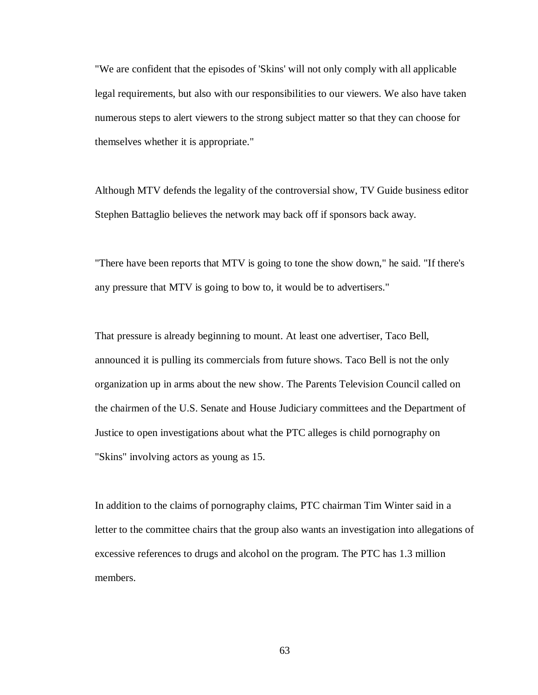"We are confident that the episodes of 'Skins' will not only comply with all applicable legal requirements, but also with our responsibilities to our viewers. We also have taken numerous steps to alert viewers to the strong subject matter so that they can choose for themselves whether it is appropriate."

Although MTV defends the legality of the controversial show, TV Guide business editor Stephen Battaglio believes the network may back off if sponsors back away.

"There have been reports that MTV is going to tone the show down," he said. "If there's any pressure that MTV is going to bow to, it would be to advertisers."

That pressure is already beginning to mount. At least one advertiser, Taco Bell, announced it is pulling its commercials from future shows. Taco Bell is not the only organization up in arms about the new show. The Parents Television Council called on the chairmen of the U.S. Senate and House Judiciary committees and the Department of Justice to open investigations about what the PTC alleges is child pornography on "Skins" involving actors as young as 15.

In addition to the claims of pornography claims, PTC chairman Tim Winter said in a letter to the committee chairs that the group also wants an investigation into allegations of excessive references to drugs and alcohol on the program. The PTC has 1.3 million members.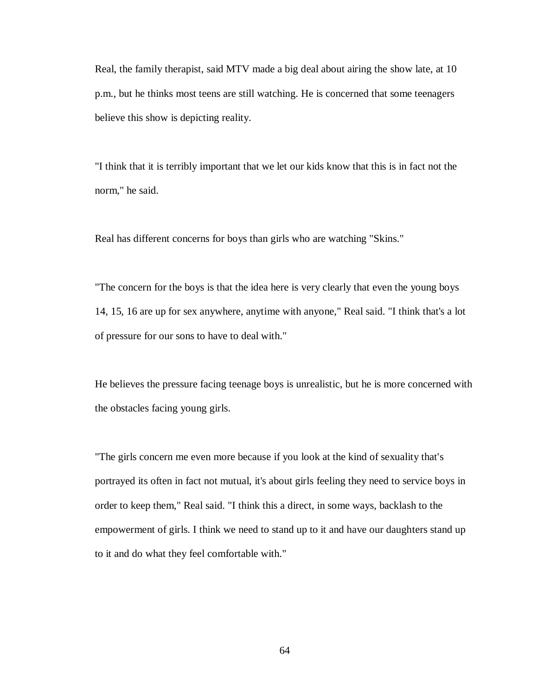Real, the family therapist, said MTV made a big deal about airing the show late, at 10 p.m., but he thinks most teens are still watching. He is concerned that some teenagers believe this show is depicting reality.

"I think that it is terribly important that we let our kids know that this is in fact not the norm," he said.

Real has different concerns for boys than girls who are watching "Skins."

"The concern for the boys is that the idea here is very clearly that even the young boys 14, 15, 16 are up for sex anywhere, anytime with anyone," Real said. "I think that's a lot of pressure for our sons to have to deal with."

He believes the pressure facing teenage boys is unrealistic, but he is more concerned with the obstacles facing young girls.

"The girls concern me even more because if you look at the kind of sexuality that's portrayed its often in fact not mutual, it's about girls feeling they need to service boys in order to keep them," Real said. "I think this a direct, in some ways, backlash to the empowerment of girls. I think we need to stand up to it and have our daughters stand up to it and do what they feel comfortable with."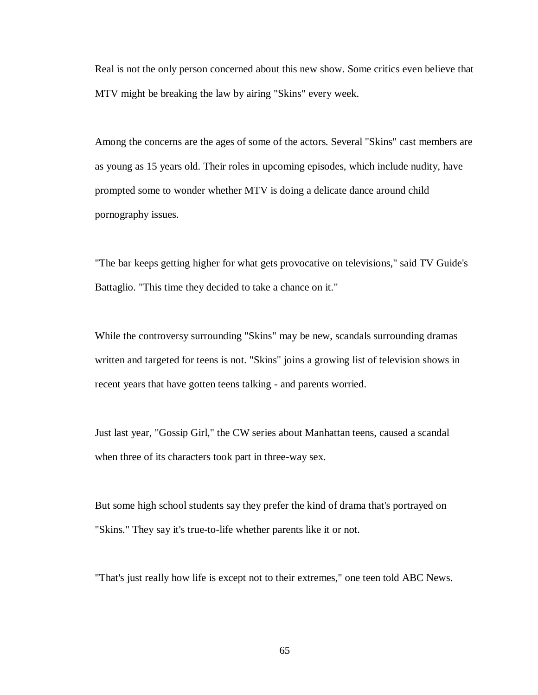Real is not the only person concerned about this new show. Some critics even believe that MTV might be breaking the law by airing "Skins" every week.

Among the concerns are the ages of some of the actors. Several "Skins" cast members are as young as 15 years old. Their roles in upcoming episodes, which include nudity, have prompted some to wonder whether MTV is doing a delicate dance around child pornography issues.

"The bar keeps getting higher for what gets provocative on televisions," said TV Guide's Battaglio. "This time they decided to take a chance on it."

While the controversy surrounding "Skins" may be new, scandals surrounding dramas written and targeted for teens is not. "Skins" joins a growing list of television shows in recent years that have gotten teens talking - and parents worried.

Just last year, "Gossip Girl," the CW series about Manhattan teens, caused a scandal when three of its characters took part in three-way sex.

But some high school students say they prefer the kind of drama that's portrayed on "Skins." They say it's true-to-life whether parents like it or not.

"That's just really how life is except not to their extremes," one teen told ABC News.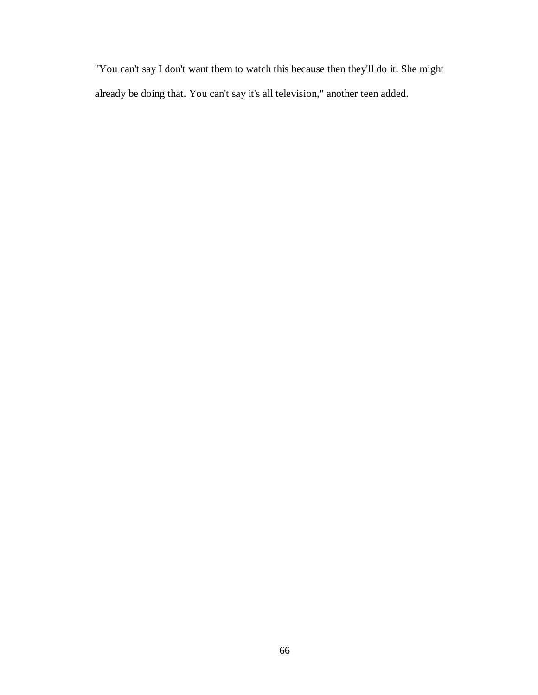"You can't say I don't want them to watch this because then they'll do it. She might already be doing that. You can't say it's all television," another teen added.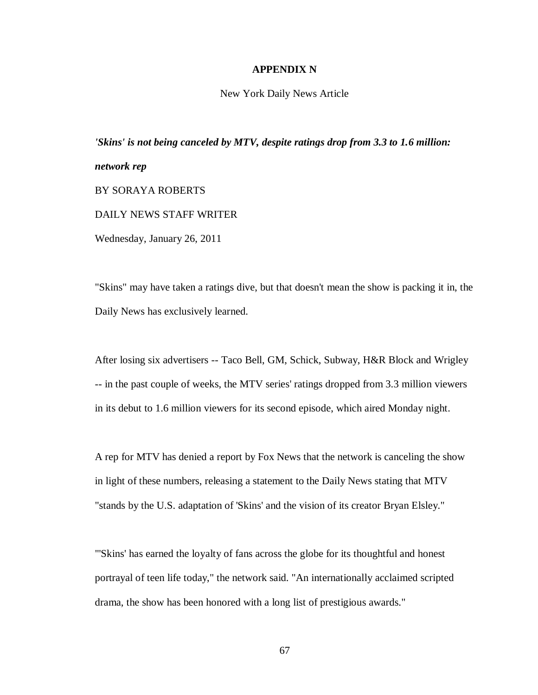# **APPENDIX N**

New York Daily News Article

*'Skins' is not being canceled by MTV, despite ratings drop from 3.3 to 1.6 million: network rep* BY SORAYA ROBERTS DAILY NEWS STAFF WRITER Wednesday, January 26, 2011

"Skins" may have taken a ratings dive, but that doesn't mean the show is packing it in, the Daily News has exclusively learned.

After losing six advertisers -- Taco Bell, GM, Schick, Subway, H&R Block and Wrigley -- in the past couple of weeks, the MTV series' ratings dropped from 3.3 million viewers in its debut to 1.6 million viewers for its second episode, which aired Monday night.

A rep for MTV has denied a report by Fox News that the network is canceling the show in light of these numbers, releasing a statement to the Daily News stating that MTV "stands by the U.S. adaptation of 'Skins' and the vision of its creator Bryan Elsley."

"'Skins' has earned the loyalty of fans across the globe for its thoughtful and honest portrayal of teen life today," the network said. "An internationally acclaimed scripted drama, the show has been honored with a long list of prestigious awards."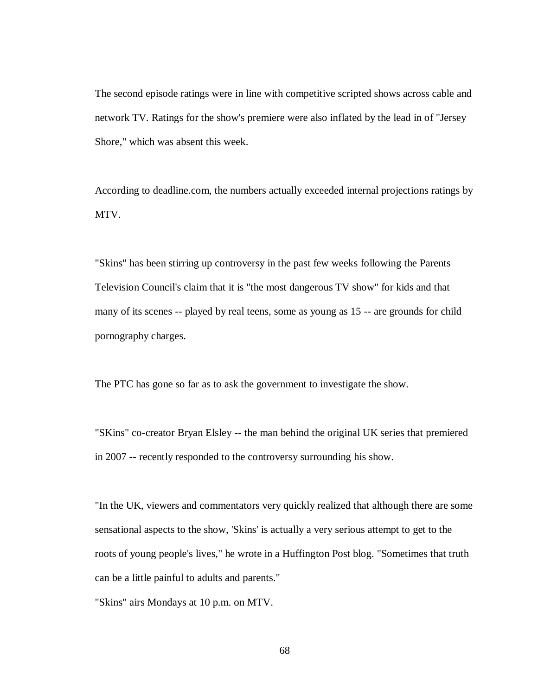The second episode ratings were in line with competitive scripted shows across cable and network TV. Ratings for the show's premiere were also inflated by the lead in of "Jersey Shore," which was absent this week.

According to deadline.com, the numbers actually exceeded internal projections ratings by MTV.

"Skins" has been stirring up controversy in the past few weeks following the Parents Television Council's claim that it is "the most dangerous TV show" for kids and that many of its scenes -- played by real teens, some as young as 15 -- are grounds for child pornography charges.

The PTC has gone so far as to ask the government to investigate the show.

"SKins" co-creator Bryan Elsley -- the man behind the original UK series that premiered in 2007 -- recently responded to the controversy surrounding his show.

"In the UK, viewers and commentators very quickly realized that although there are some sensational aspects to the show, 'Skins' is actually a very serious attempt to get to the roots of young people's lives," he wrote in a Huffington Post blog. "Sometimes that truth can be a little painful to adults and parents."

"Skins" airs Mondays at 10 p.m. on MTV.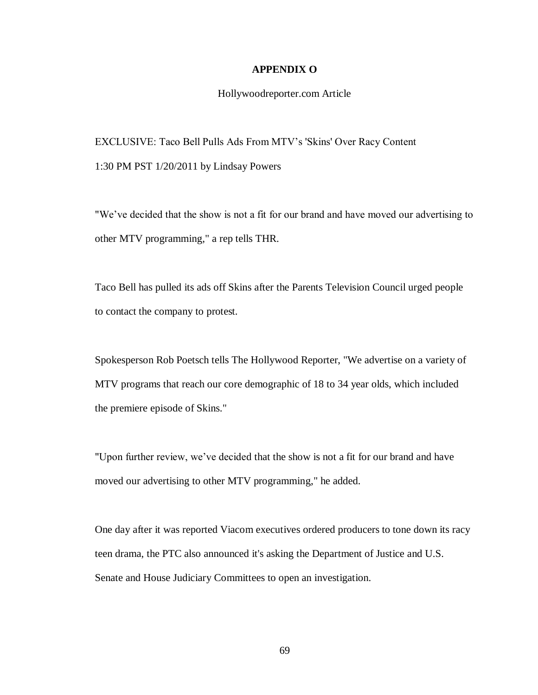### **APPENDIX O**

### Hollywoodreporter.com Article

EXCLUSIVE: Taco Bell Pulls Ads From MTV's 'Skins' Over Racy Content 1:30 PM PST 1/20/2011 by Lindsay Powers

"We've decided that the show is not a fit for our brand and have moved our advertising to other MTV programming," a rep tells THR.

Taco Bell has pulled its ads off Skins after the Parents Television Council urged people to contact the company to protest.

Spokesperson Rob Poetsch tells The Hollywood Reporter, "We advertise on a variety of MTV programs that reach our core demographic of 18 to 34 year olds, which included the premiere episode of Skins."

"Upon further review, we've decided that the show is not a fit for our brand and have moved our advertising to other MTV programming," he added.

One day after it was reported Viacom executives ordered producers to tone down its racy teen drama, the PTC also announced it's asking the Department of Justice and U.S. Senate and House Judiciary Committees to open an investigation.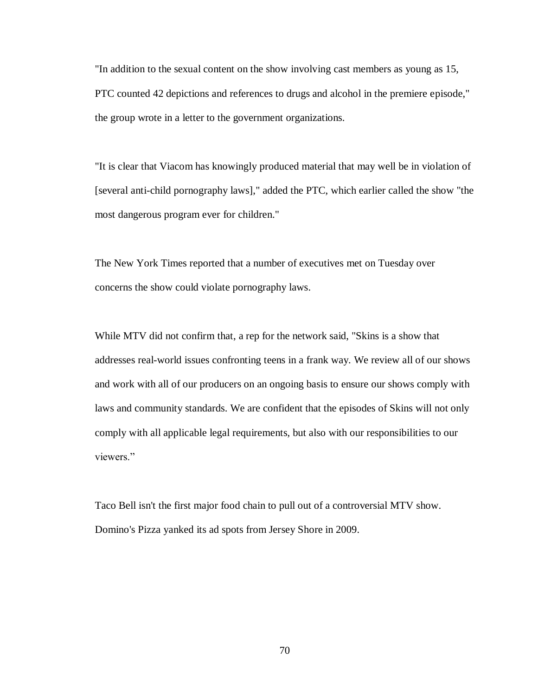"In addition to the sexual content on the show involving cast members as young as 15, PTC counted 42 depictions and references to drugs and alcohol in the premiere episode," the group wrote in a letter to the government organizations.

"It is clear that Viacom has knowingly produced material that may well be in violation of [several anti-child pornography laws]," added the PTC, which earlier called the show "the most dangerous program ever for children."

The New York Times reported that a number of executives met on Tuesday over concerns the show could violate pornography laws.

While MTV did not confirm that, a rep for the network said, "Skins is a show that addresses real-world issues confronting teens in a frank way. We review all of our shows and work with all of our producers on an ongoing basis to ensure our shows comply with laws and community standards. We are confident that the episodes of Skins will not only comply with all applicable legal requirements, but also with our responsibilities to our viewers."

Taco Bell isn't the first major food chain to pull out of a controversial MTV show. Domino's Pizza yanked its ad spots from Jersey Shore in 2009.

70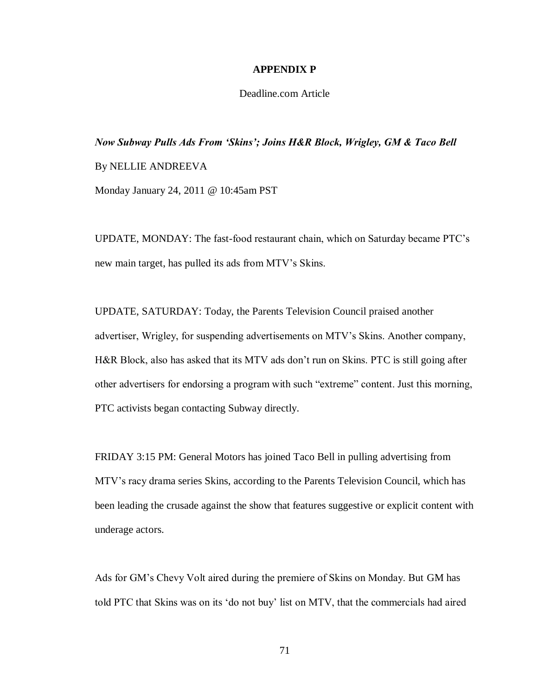### **APPENDIX P**

### Deadline.com Article

# *Now Subway Pulls Ads From 'Skins'; Joins H&R Block, Wrigley, GM & Taco Bell* By NELLIE ANDREEVA

Monday January 24, 2011 @ 10:45am PST

UPDATE, MONDAY: The fast-food restaurant chain, which on Saturday became PTC's new main target, has pulled its ads from MTV's Skins.

UPDATE, SATURDAY: Today, the Parents Television Council praised another advertiser, Wrigley, for suspending advertisements on MTV's Skins. Another company, H&R Block, also has asked that its MTV ads don't run on Skins. PTC is still going after other advertisers for endorsing a program with such "extreme" content. Just this morning, PTC activists began contacting Subway directly.

FRIDAY 3:15 PM: General Motors has joined Taco Bell in pulling advertising from MTV's racy drama series Skins, according to the Parents Television Council, which has been leading the crusade against the show that features suggestive or explicit content with underage actors.

Ads for GM's Chevy Volt aired during the premiere of Skins on Monday. But GM has told PTC that Skins was on its 'do not buy' list on MTV, that the commercials had aired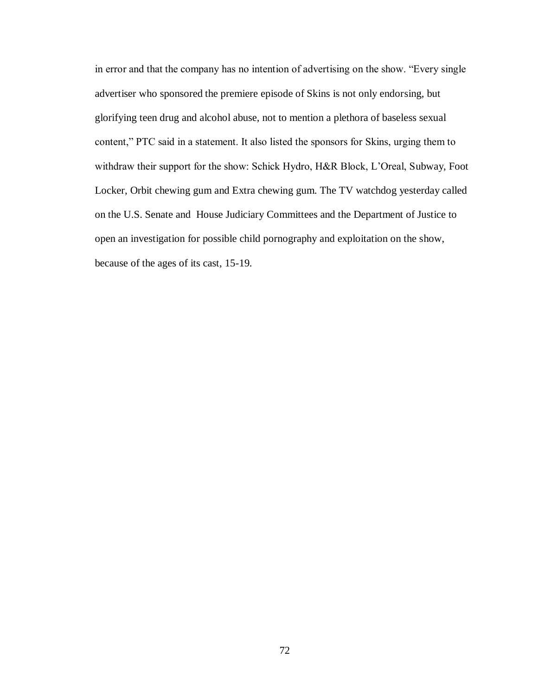in error and that the company has no intention of advertising on the show. "Every single advertiser who sponsored the premiere episode of Skins is not only endorsing, but glorifying teen drug and alcohol abuse, not to mention a plethora of baseless sexual content," PTC said in a statement. It also listed the sponsors for Skins, urging them to withdraw their support for the show: Schick Hydro, H&R Block, L'Oreal, Subway, Foot Locker, Orbit chewing gum and Extra chewing gum. The TV watchdog yesterday called on the U.S. Senate and House Judiciary Committees and the Department of Justice to open an investigation for possible child pornography and exploitation on the show, because of the ages of its cast, 15-19.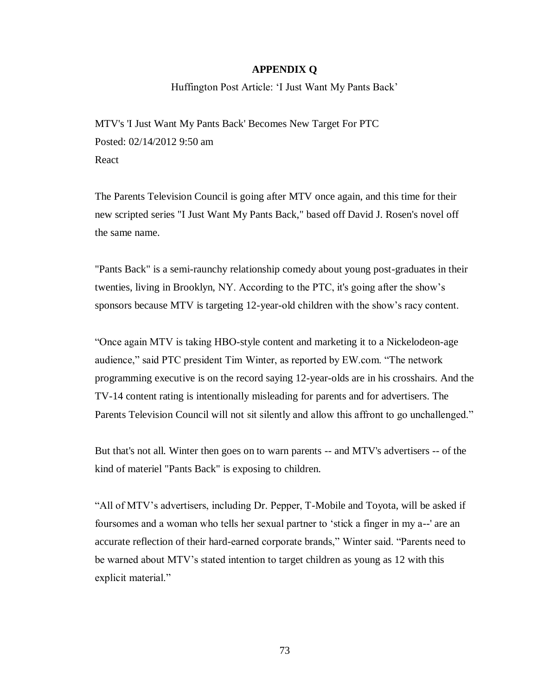#### **APPENDIX Q**

Huffington Post Article: 'I Just Want My Pants Back'

MTV's 'I Just Want My Pants Back' Becomes New Target For PTC Posted: 02/14/2012 9:50 am React

The Parents Television Council is going after MTV once again, and this time for their new scripted series "I Just Want My Pants Back," based off David J. Rosen's novel off the same name.

"Pants Back" is a semi-raunchy relationship comedy about young post-graduates in their twenties, living in Brooklyn, NY. According to the PTC, it's going after the show's sponsors because MTV is targeting 12-year-old children with the show's racy content.

"Once again MTV is taking HBO-style content and marketing it to a Nickelodeon-age audience," said PTC president Tim Winter, as reported by EW.com. "The network programming executive is on the record saying 12-year-olds are in his crosshairs. And the TV-14 content rating is intentionally misleading for parents and for advertisers. The Parents Television Council will not sit silently and allow this affront to go unchallenged."

But that's not all. Winter then goes on to warn parents -- and MTV's advertisers -- of the kind of materiel "Pants Back" is exposing to children.

"All of MTV's advertisers, including Dr. Pepper, T-Mobile and Toyota, will be asked if foursomes and a woman who tells her sexual partner to 'stick a finger in my a--' are an accurate reflection of their hard-earned corporate brands," Winter said. "Parents need to be warned about MTV's stated intention to target children as young as 12 with this explicit material."

73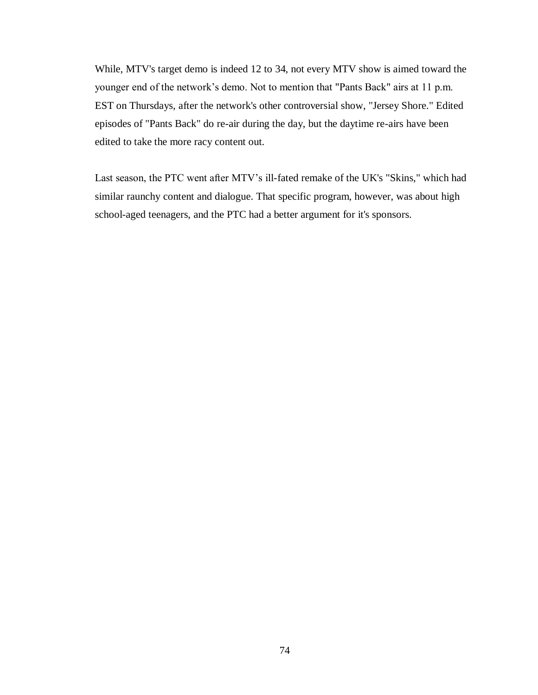While, MTV's target demo is indeed 12 to 34, not every MTV show is aimed toward the younger end of the network's demo. Not to mention that "Pants Back" airs at 11 p.m. EST on Thursdays, after the network's other controversial show, "Jersey Shore." Edited episodes of "Pants Back" do re-air during the day, but the daytime re-airs have been edited to take the more racy content out.

Last season, the PTC went after MTV's ill-fated remake of the UK's "Skins," which had similar raunchy content and dialogue. That specific program, however, was about high school-aged teenagers, and the PTC had a better argument for it's sponsors.